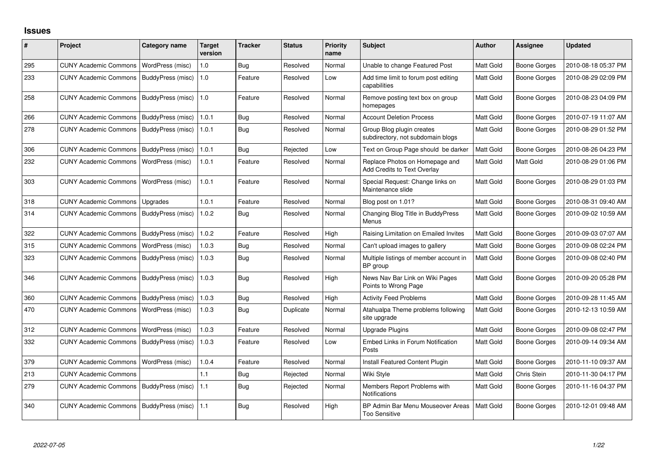## **Issues**

| #   | <b>Project</b>               | <b>Category name</b>     | <b>Target</b><br>version | <b>Tracker</b> | <b>Status</b> | Priority<br>name | <b>Subject</b>                                                 | <b>Author</b> | <b>Assignee</b>     | <b>Updated</b>      |
|-----|------------------------------|--------------------------|--------------------------|----------------|---------------|------------------|----------------------------------------------------------------|---------------|---------------------|---------------------|
| 295 | <b>CUNY Academic Commons</b> | WordPress (misc)         | 1.0                      | Bug            | Resolved      | Normal           | Unable to change Featured Post                                 | Matt Gold     | <b>Boone Gorges</b> | 2010-08-18 05:37 PM |
| 233 | <b>CUNY Academic Commons</b> | BuddyPress (misc)        | 1.0                      | Feature        | Resolved      | Low              | Add time limit to forum post editing<br>capabilities           | Matt Gold     | Boone Gorges        | 2010-08-29 02:09 PM |
| 258 | <b>CUNY Academic Commons</b> | BuddyPress (misc)        | l 1.0                    | Feature        | Resolved      | Normal           | Remove posting text box on group<br>homepages                  | Matt Gold     | <b>Boone Gorges</b> | 2010-08-23 04:09 PM |
| 266 | <b>CUNY Academic Commons</b> | <b>BuddyPress (misc)</b> | 1.0.1                    | Bug            | Resolved      | Normal           | <b>Account Deletion Process</b>                                | Matt Gold     | <b>Boone Gorges</b> | 2010-07-19 11:07 AM |
| 278 | <b>CUNY Academic Commons</b> | BuddyPress (misc)        | 1.0.1                    | Bug            | Resolved      | Normal           | Group Blog plugin creates<br>subdirectory, not subdomain blogs | Matt Gold     | <b>Boone Gorges</b> | 2010-08-29 01:52 PM |
| 306 | <b>CUNY Academic Commons</b> | BuddyPress (misc)        | 1.0.1                    | <b>Bug</b>     | Rejected      | Low              | Text on Group Page should be darker                            | Matt Gold     | <b>Boone Gorges</b> | 2010-08-26 04:23 PM |
| 232 | <b>CUNY Academic Commons</b> | WordPress (misc)         | 1.0.1                    | Feature        | Resolved      | Normal           | Replace Photos on Homepage and<br>Add Credits to Text Overlay  | Matt Gold     | Matt Gold           | 2010-08-29 01:06 PM |
| 303 | <b>CUNY Academic Commons</b> | WordPress (misc)         | 1.0.1                    | Feature        | Resolved      | Normal           | Special Request: Change links on<br>Maintenance slide          | Matt Gold     | Boone Gorges        | 2010-08-29 01:03 PM |
| 318 | <b>CUNY Academic Commons</b> | Upgrades                 | 1.0.1                    | Feature        | Resolved      | Normal           | Blog post on 1.01?                                             | Matt Gold     | Boone Gorges        | 2010-08-31 09:40 AM |
| 314 | <b>CUNY Academic Commons</b> | BuddyPress (misc)        | 1.0.2                    | Bug            | Resolved      | Normal           | Changing Blog Title in BuddyPress<br>Menus                     | Matt Gold     | Boone Gorges        | 2010-09-02 10:59 AM |
| 322 | <b>CUNY Academic Commons</b> | BuddyPress (misc)        | 1.0.2                    | Feature        | Resolved      | High             | Raising Limitation on Emailed Invites                          | Matt Gold     | Boone Gorges        | 2010-09-03 07:07 AM |
| 315 | <b>CUNY Academic Commons</b> | WordPress (misc)         | 1.0.3                    | Bug            | Resolved      | Normal           | Can't upload images to gallery                                 | Matt Gold     | <b>Boone Gorges</b> | 2010-09-08 02:24 PM |
| 323 | <b>CUNY Academic Commons</b> | BuddyPress (misc)        | 1.0.3                    | Bug            | Resolved      | Normal           | Multiple listings of member account in<br>BP group             | Matt Gold     | Boone Gorges        | 2010-09-08 02:40 PM |
| 346 | <b>CUNY Academic Commons</b> | BuddyPress (misc)        | 1.0.3                    | Bug            | Resolved      | High             | News Nav Bar Link on Wiki Pages<br>Points to Wrong Page        | Matt Gold     | <b>Boone Gorges</b> | 2010-09-20 05:28 PM |
| 360 | <b>CUNY Academic Commons</b> | BuddyPress (misc)        | 1.0.3                    | Bug            | Resolved      | High             | <b>Activity Feed Problems</b>                                  | Matt Gold     | Boone Gorges        | 2010-09-28 11:45 AM |
| 470 | <b>CUNY Academic Commons</b> | WordPress (misc)         | 1.0.3                    | Bug            | Duplicate     | Normal           | Atahualpa Theme problems following<br>site upgrade             | Matt Gold     | <b>Boone Gorges</b> | 2010-12-13 10:59 AM |
| 312 | <b>CUNY Academic Commons</b> | WordPress (misc)         | 1.0.3                    | Feature        | Resolved      | Normal           | <b>Upgrade Plugins</b>                                         | Matt Gold     | <b>Boone Gorges</b> | 2010-09-08 02:47 PM |
| 332 | <b>CUNY Academic Commons</b> | BuddyPress (misc)        | 1.0.3                    | Feature        | Resolved      | Low              | Embed Links in Forum Notification<br>Posts                     | Matt Gold     | Boone Gorges        | 2010-09-14 09:34 AM |
| 379 | <b>CUNY Academic Commons</b> | WordPress (misc)         | 1.0.4                    | Feature        | Resolved      | Normal           | Install Featured Content Plugin                                | Matt Gold     | <b>Boone Gorges</b> | 2010-11-10 09:37 AM |
| 213 | <b>CUNY Academic Commons</b> |                          | 1.1                      | <b>Bug</b>     | Rejected      | Normal           | Wiki Style                                                     | Matt Gold     | Chris Stein         | 2010-11-30 04:17 PM |
| 279 | <b>CUNY Academic Commons</b> | BuddyPress (misc)        | 1.1                      | Bug            | Rejected      | Normal           | Members Report Problems with<br><b>Notifications</b>           | Matt Gold     | Boone Gorges        | 2010-11-16 04:37 PM |
| 340 | <b>CUNY Academic Commons</b> | BuddyPress (misc)        | 1.1                      | <b>Bug</b>     | Resolved      | High             | BP Admin Bar Menu Mouseover Areas<br><b>Too Sensitive</b>      | Matt Gold     | Boone Gorges        | 2010-12-01 09:48 AM |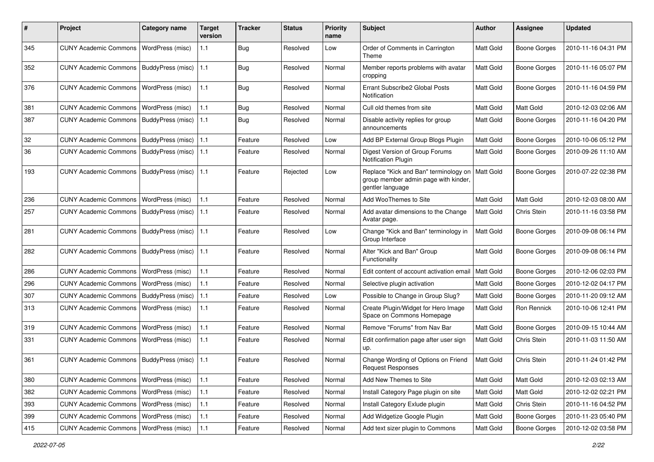| ∦   | Project                                  | Category name           | <b>Target</b><br>version | Tracker    | <b>Status</b> | <b>Priority</b><br>name | Subject                                                                                           | <b>Author</b>    | Assignee            | <b>Updated</b>      |
|-----|------------------------------------------|-------------------------|--------------------------|------------|---------------|-------------------------|---------------------------------------------------------------------------------------------------|------------------|---------------------|---------------------|
| 345 | <b>CUNY Academic Commons</b>             | WordPress (misc)        | 1.1                      | Bug        | Resolved      | Low                     | Order of Comments in Carrington<br>Theme                                                          | <b>Matt Gold</b> | <b>Boone Gorges</b> | 2010-11-16 04:31 PM |
| 352 | <b>CUNY Academic Commons</b>             | BuddyPress (misc)       | 1.1                      | <b>Bug</b> | Resolved      | Normal                  | Member reports problems with avatar<br>cropping                                                   | Matt Gold        | <b>Boone Gorges</b> | 2010-11-16 05:07 PM |
| 376 | <b>CUNY Academic Commons</b>             | WordPress (misc)        | $1.1$                    | <b>Bug</b> | Resolved      | Normal                  | Errant Subscribe2 Global Posts<br>Notification                                                    | <b>Matt Gold</b> | Boone Gorges        | 2010-11-16 04:59 PM |
| 381 | <b>CUNY Academic Commons</b>             | WordPress (misc)        | $1.1$                    | <b>Bug</b> | Resolved      | Normal                  | Cull old themes from site                                                                         | Matt Gold        | Matt Gold           | 2010-12-03 02:06 AM |
| 387 | <b>CUNY Academic Commons</b>             | BuddyPress (misc)       | 1.1                      | <b>Bug</b> | Resolved      | Normal                  | Disable activity replies for group<br>announcements                                               | Matt Gold        | <b>Boone Gorges</b> | 2010-11-16 04:20 PM |
| 32  | <b>CUNY Academic Commons</b>             | BuddyPress (misc)   1.1 |                          | Feature    | Resolved      | Low                     | Add BP External Group Blogs Plugin                                                                | Matt Gold        | <b>Boone Gorges</b> | 2010-10-06 05:12 PM |
| 36  | <b>CUNY Academic Commons</b>             | BuddyPress (misc)       | 1.1                      | Feature    | Resolved      | Normal                  | Digest Version of Group Forums<br><b>Notification Plugin</b>                                      | Matt Gold        | Boone Gorges        | 2010-09-26 11:10 AM |
| 193 | <b>CUNY Academic Commons</b>             | BuddyPress (misc)   1.1 |                          | Feature    | Rejected      | Low                     | Replace "Kick and Ban" terminology on<br>group member admin page with kinder,<br>gentler language | <b>Matt Gold</b> | <b>Boone Gorges</b> | 2010-07-22 02:38 PM |
| 236 | <b>CUNY Academic Commons</b>             | WordPress (misc)        | 1.1                      | Feature    | Resolved      | Normal                  | Add WooThemes to Site                                                                             | Matt Gold        | Matt Gold           | 2010-12-03 08:00 AM |
| 257 | <b>CUNY Academic Commons</b>             | BuddyPress (misc)       | 1.1                      | Feature    | Resolved      | Normal                  | Add avatar dimensions to the Change<br>Avatar page.                                               | Matt Gold        | Chris Stein         | 2010-11-16 03:58 PM |
| 281 | <b>CUNY Academic Commons</b>             | BuddyPress (misc)       | 11.1                     | Feature    | Resolved      | Low                     | Change "Kick and Ban" terminology in<br>Group Interface                                           | Matt Gold        | Boone Gorges        | 2010-09-08 06:14 PM |
| 282 | <b>CUNY Academic Commons</b>             | BuddyPress (misc)   1.1 |                          | Feature    | Resolved      | Normal                  | Alter "Kick and Ban" Group<br>Functionality                                                       | Matt Gold        | Boone Gorges        | 2010-09-08 06:14 PM |
| 286 | <b>CUNY Academic Commons</b>             | WordPress (misc)        | $1.1$                    | Feature    | Resolved      | Normal                  | Edit content of account activation email                                                          | <b>Matt Gold</b> | <b>Boone Gorges</b> | 2010-12-06 02:03 PM |
| 296 | <b>CUNY Academic Commons</b>             | WordPress (misc)        | 1.1                      | Feature    | Resolved      | Normal                  | Selective plugin activation                                                                       | Matt Gold        | <b>Boone Gorges</b> | 2010-12-02 04:17 PM |
| 307 | <b>CUNY Academic Commons</b>             | BuddyPress (misc)       | $1.1$                    | Feature    | Resolved      | Low                     | Possible to Change in Group Slug?                                                                 | Matt Gold        | <b>Boone Gorges</b> | 2010-11-20 09:12 AM |
| 313 | <b>CUNY Academic Commons</b>             | <b>WordPress (misc)</b> | $1.1$                    | Feature    | Resolved      | Normal                  | Create Plugin/Widget for Hero Image<br>Space on Commons Homepage                                  | Matt Gold        | Ron Rennick         | 2010-10-06 12:41 PM |
| 319 | <b>CUNY Academic Commons</b>             | WordPress (misc)        | 1.1                      | Feature    | Resolved      | Normal                  | Remove "Forums" from Nav Bar                                                                      | Matt Gold        | <b>Boone Gorges</b> | 2010-09-15 10:44 AM |
| 331 | <b>CUNY Academic Commons</b>             | WordPress (misc)        | $1.1$                    | Feature    | Resolved      | Normal                  | Edit confirmation page after user sign<br>up.                                                     | Matt Gold        | Chris Stein         | 2010-11-03 11:50 AM |
| 361 | <b>CUNY Academic Commons</b>             | BuddyPress (misc)   1.1 |                          | Feature    | Resolved      | Normal                  | Change Wording of Options on Friend<br>Request Responses                                          | <b>Matt Gold</b> | Chris Stein         | 2010-11-24 01:42 PM |
| 380 | CUNY Academic Commons   WordPress (misc) |                         | 1.1                      | Feature    | Resolved      | Normal                  | Add New Themes to Site                                                                            | <b>Matt Gold</b> | Matt Gold           | 2010-12-03 02:13 AM |
| 382 | <b>CUNY Academic Commons</b>             | <b>WordPress (misc)</b> | 1.1                      | Feature    | Resolved      | Normal                  | Install Category Page plugin on site                                                              | Matt Gold        | Matt Gold           | 2010-12-02 02:21 PM |
| 393 | <b>CUNY Academic Commons</b>             | <b>WordPress (misc)</b> | 1.1                      | Feature    | Resolved      | Normal                  | Install Category Exlude plugin                                                                    | Matt Gold        | Chris Stein         | 2010-11-16 04:52 PM |
| 399 | <b>CUNY Academic Commons</b>             | WordPress (misc)        | 1.1                      | Feature    | Resolved      | Normal                  | Add Widgetize Google Plugin                                                                       | Matt Gold        | Boone Gorges        | 2010-11-23 05:40 PM |
| 415 | <b>CUNY Academic Commons</b>             | WordPress (misc)        | $1.1$                    | Feature    | Resolved      | Normal                  | Add text sizer plugin to Commons                                                                  | Matt Gold        | Boone Gorges        | 2010-12-02 03:58 PM |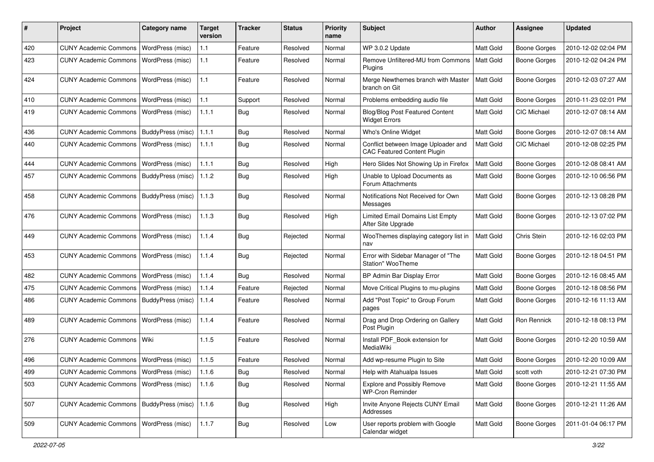| #   | Project                                  | <b>Category name</b>     | <b>Target</b><br>version | Tracker    | <b>Status</b> | <b>Priority</b><br>name | <b>Subject</b>                                                            | <b>Author</b>    | <b>Assignee</b>     | <b>Updated</b>      |
|-----|------------------------------------------|--------------------------|--------------------------|------------|---------------|-------------------------|---------------------------------------------------------------------------|------------------|---------------------|---------------------|
| 420 | <b>CUNY Academic Commons</b>             | WordPress (misc)         | $1.1$                    | Feature    | Resolved      | Normal                  | WP 3.0.2 Update                                                           | Matt Gold        | <b>Boone Gorges</b> | 2010-12-02 02:04 PM |
| 423 | <b>CUNY Academic Commons</b>             | WordPress (misc)         | 1.1                      | Feature    | Resolved      | Normal                  | Remove Unfiltered-MU from Commons<br>Plugins                              | <b>Matt Gold</b> | <b>Boone Gorges</b> | 2010-12-02 04:24 PM |
| 424 | <b>CUNY Academic Commons</b>             | WordPress (misc)         | 1.1                      | Feature    | Resolved      | Normal                  | Merge Newthemes branch with Master<br>branch on Git                       | Matt Gold        | <b>Boone Gorges</b> | 2010-12-03 07:27 AM |
| 410 | <b>CUNY Academic Commons</b>             | <b>WordPress (misc)</b>  | 1.1                      | Support    | Resolved      | Normal                  | Problems embedding audio file                                             | Matt Gold        | <b>Boone Gorges</b> | 2010-11-23 02:01 PM |
| 419 | <b>CUNY Academic Commons</b>             | WordPress (misc)         | 1.1.1                    | <b>Bug</b> | Resolved      | Normal                  | <b>Blog/Blog Post Featured Content</b><br><b>Widget Errors</b>            | <b>Matt Gold</b> | <b>CIC Michael</b>  | 2010-12-07 08:14 AM |
| 436 | <b>CUNY Academic Commons</b>             | <b>BuddyPress (misc)</b> | 1.1.1                    | <b>Bug</b> | Resolved      | Normal                  | Who's Online Widget                                                       | Matt Gold        | <b>Boone Gorges</b> | 2010-12-07 08:14 AM |
| 440 | <b>CUNY Academic Commons</b>             | WordPress (misc)         | 1.1.1                    | Bug        | Resolved      | Normal                  | Conflict between Image Uploader and<br><b>CAC Featured Content Plugin</b> | Matt Gold        | <b>CIC Michael</b>  | 2010-12-08 02:25 PM |
| 444 | <b>CUNY Academic Commons</b>             | WordPress (misc)         | 1.1.1                    | Bug        | Resolved      | High                    | Hero Slides Not Showing Up in Firefox                                     | Matt Gold        | <b>Boone Gorges</b> | 2010-12-08 08:41 AM |
| 457 | <b>CUNY Academic Commons</b>             | BuddyPress (misc)        | 1.1.2                    | Bug        | Resolved      | High                    | Unable to Upload Documents as<br>Forum Attachments                        | <b>Matt Gold</b> | Boone Gorges        | 2010-12-10 06:56 PM |
| 458 | <b>CUNY Academic Commons</b>             | BuddyPress (misc)        | 1.1.3                    | <b>Bug</b> | Resolved      | Normal                  | Notifications Not Received for Own<br>Messages                            | <b>Matt Gold</b> | Boone Gorges        | 2010-12-13 08:28 PM |
| 476 | <b>CUNY Academic Commons</b>             | WordPress (misc)         | 1.1.3                    | Bug        | Resolved      | High                    | Limited Email Domains List Empty<br>After Site Upgrade                    | Matt Gold        | <b>Boone Gorges</b> | 2010-12-13 07:02 PM |
| 449 | <b>CUNY Academic Commons</b>             | WordPress (misc)         | 1.1.4                    | <b>Bug</b> | Rejected      | Normal                  | WooThemes displaying category list in<br>nav                              | Matt Gold        | Chris Stein         | 2010-12-16 02:03 PM |
| 453 | <b>CUNY Academic Commons</b>             | WordPress (misc)         | 1.1.4                    | <b>Bug</b> | Rejected      | Normal                  | Error with Sidebar Manager of "The<br>Station" WooTheme                   | <b>Matt Gold</b> | <b>Boone Gorges</b> | 2010-12-18 04:51 PM |
| 482 | <b>CUNY Academic Commons</b>             | WordPress (misc)         | 1.1.4                    | <b>Bug</b> | Resolved      | Normal                  | BP Admin Bar Display Error                                                | Matt Gold        | <b>Boone Gorges</b> | 2010-12-16 08:45 AM |
| 475 | <b>CUNY Academic Commons</b>             | WordPress (misc)         | 1.1.4                    | Feature    | Rejected      | Normal                  | Move Critical Plugins to mu-plugins                                       | Matt Gold        | <b>Boone Gorges</b> | 2010-12-18 08:56 PM |
| 486 | <b>CUNY Academic Commons</b>             | BuddyPress (misc)        | 1.1.4                    | Feature    | Resolved      | Normal                  | Add "Post Topic" to Group Forum<br>pages                                  | Matt Gold        | Boone Gorges        | 2010-12-16 11:13 AM |
| 489 | <b>CUNY Academic Commons</b>             | WordPress (misc)         | 1.1.4                    | Feature    | Resolved      | Normal                  | Drag and Drop Ordering on Gallery<br>Post Plugin                          | Matt Gold        | Ron Rennick         | 2010-12-18 08:13 PM |
| 276 | <b>CUNY Academic Commons</b>             | l Wiki                   | 1.1.5                    | Feature    | Resolved      | Normal                  | Install PDF_Book extension for<br>MediaWiki                               | <b>Matt Gold</b> | <b>Boone Gorges</b> | 2010-12-20 10:59 AM |
| 496 | <b>CUNY Academic Commons</b>             | WordPress (misc)         | 1.1.5                    | Feature    | Resolved      | Normal                  | Add wp-resume Plugin to Site                                              | <b>Matt Gold</b> | <b>Boone Gorges</b> | 2010-12-20 10:09 AM |
| 499 | CUNY Academic Commons   WordPress (misc) |                          | 1.1.6                    | Bug        | Resolved      | Normal                  | Help with Atahualpa Issues                                                | Matt Gold        | scott voth          | 2010-12-21 07:30 PM |
| 503 | CUNY Academic Commons   WordPress (misc) |                          | 1.1.6                    | Bug        | Resolved      | Normal                  | <b>Explore and Possibly Remove</b><br><b>WP-Cron Reminder</b>             | Matt Gold        | Boone Gorges        | 2010-12-21 11:55 AM |
| 507 | <b>CUNY Academic Commons</b>             | BuddyPress (misc)        | 1.1.6                    | Bug        | Resolved      | High                    | Invite Anyone Rejects CUNY Email<br>Addresses                             | Matt Gold        | <b>Boone Gorges</b> | 2010-12-21 11:26 AM |
| 509 | <b>CUNY Academic Commons</b>             | WordPress (misc)         | 1.1.7                    | <b>Bug</b> | Resolved      | Low                     | User reports problem with Google<br>Calendar widget                       | Matt Gold        | Boone Gorges        | 2011-01-04 06:17 PM |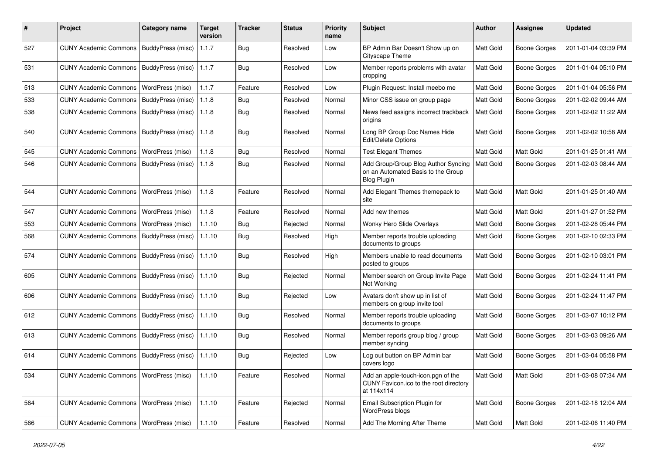| #   | Project                                  | <b>Category name</b>     | <b>Target</b><br>version | <b>Tracker</b> | <b>Status</b> | <b>Priority</b><br>name | <b>Subject</b>                                                                                  | <b>Author</b> | <b>Assignee</b>     | <b>Updated</b>      |
|-----|------------------------------------------|--------------------------|--------------------------|----------------|---------------|-------------------------|-------------------------------------------------------------------------------------------------|---------------|---------------------|---------------------|
| 527 | <b>CUNY Academic Commons</b>             | <b>BuddyPress (misc)</b> | 1.1.7                    | <b>Bug</b>     | Resolved      | Low                     | BP Admin Bar Doesn't Show up on<br>Cityscape Theme                                              | Matt Gold     | <b>Boone Gorges</b> | 2011-01-04 03:39 PM |
| 531 | <b>CUNY Academic Commons</b>             | <b>BuddyPress (misc)</b> | 1.1.7                    | <b>Bug</b>     | Resolved      | Low                     | Member reports problems with avatar<br>cropping                                                 | Matt Gold     | <b>Boone Gorges</b> | 2011-01-04 05:10 PM |
| 513 | <b>CUNY Academic Commons</b>             | WordPress (misc)         | 1.1.7                    | Feature        | Resolved      | Low                     | Plugin Request: Install meebo me                                                                | Matt Gold     | <b>Boone Gorges</b> | 2011-01-04 05:56 PM |
| 533 | <b>CUNY Academic Commons</b>             | BuddyPress (misc)        | 1.1.8                    | <b>Bug</b>     | Resolved      | Normal                  | Minor CSS issue on group page                                                                   | Matt Gold     | <b>Boone Gorges</b> | 2011-02-02 09:44 AM |
| 538 | <b>CUNY Academic Commons</b>             | BuddyPress (misc)        | 1.1.8                    | Bug            | Resolved      | Normal                  | News feed assigns incorrect trackback<br>origins                                                | Matt Gold     | <b>Boone Gorges</b> | 2011-02-02 11:22 AM |
| 540 | <b>CUNY Academic Commons</b>             | <b>BuddyPress (misc)</b> | 1.1.8                    | Bug            | Resolved      | Normal                  | Long BP Group Doc Names Hide<br>Edit/Delete Options                                             | Matt Gold     | <b>Boone Gorges</b> | 2011-02-02 10:58 AM |
| 545 | <b>CUNY Academic Commons</b>             | WordPress (misc)         | 1.1.8                    | <b>Bug</b>     | Resolved      | Normal                  | <b>Test Elegant Themes</b>                                                                      | Matt Gold     | <b>Matt Gold</b>    | 2011-01-25 01:41 AM |
| 546 | <b>CUNY Academic Commons</b>             | BuddyPress (misc)        | 1.1.8                    | <b>Bug</b>     | Resolved      | Normal                  | Add Group/Group Blog Author Syncing<br>on an Automated Basis to the Group<br><b>Blog Plugin</b> | Matt Gold     | <b>Boone Gorges</b> | 2011-02-03 08:44 AM |
| 544 | <b>CUNY Academic Commons</b>             | WordPress (misc)         | 1.1.8                    | Feature        | Resolved      | Normal                  | Add Elegant Themes themepack to<br>site                                                         | Matt Gold     | Matt Gold           | 2011-01-25 01:40 AM |
| 547 | <b>CUNY Academic Commons</b>             | WordPress (misc)         | 1.1.8                    | Feature        | Resolved      | Normal                  | Add new themes                                                                                  | Matt Gold     | Matt Gold           | 2011-01-27 01:52 PM |
| 553 | <b>CUNY Academic Commons</b>             | WordPress (misc)         | 1.1.10                   | <b>Bug</b>     | Rejected      | Normal                  | Wonky Hero Slide Overlays                                                                       | Matt Gold     | <b>Boone Gorges</b> | 2011-02-28 05:44 PM |
| 568 | <b>CUNY Academic Commons</b>             | BuddyPress (misc)        | 1.1.10                   | <b>Bug</b>     | Resolved      | High                    | Member reports trouble uploading<br>documents to groups                                         | Matt Gold     | <b>Boone Gorges</b> | 2011-02-10 02:33 PM |
| 574 | <b>CUNY Academic Commons</b>             | BuddyPress (misc)        | 1.1.10                   | Bug            | Resolved      | High                    | Members unable to read documents<br>posted to groups                                            | Matt Gold     | <b>Boone Gorges</b> | 2011-02-10 03:01 PM |
| 605 | <b>CUNY Academic Commons</b>             | BuddyPress (misc)        | 1.1.10                   | <b>Bug</b>     | Rejected      | Normal                  | Member search on Group Invite Page<br>Not Working                                               | Matt Gold     | <b>Boone Gorges</b> | 2011-02-24 11:41 PM |
| 606 | <b>CUNY Academic Commons</b>             | BuddyPress (misc)        | 1.1.10                   | Bug            | Rejected      | Low                     | Avatars don't show up in list of<br>members on group invite tool                                | Matt Gold     | <b>Boone Gorges</b> | 2011-02-24 11:47 PM |
| 612 | <b>CUNY Academic Commons</b>             | BuddyPress (misc)        | 1.1.10                   | <b>Bug</b>     | Resolved      | Normal                  | Member reports trouble uploading<br>documents to groups                                         | Matt Gold     | <b>Boone Gorges</b> | 2011-03-07 10:12 PM |
| 613 | <b>CUNY Academic Commons</b>             | <b>BuddyPress (misc)</b> | 1.1.10                   | <b>Bug</b>     | Resolved      | Normal                  | Member reports group blog / group<br>member syncing                                             | Matt Gold     | <b>Boone Gorges</b> | 2011-03-03 09:26 AM |
| 614 | <b>CUNY Academic Commons</b>             | BuddyPress (misc)        | 1.1.10                   | <b>Bug</b>     | Rejected      | Low                     | Log out button on BP Admin bar<br>covers logo                                                   | Matt Gold     | <b>Boone Gorges</b> | 2011-03-04 05:58 PM |
| 534 | CUNY Academic Commons   WordPress (misc) |                          | 1.1.10                   | Feature        | Resolved      | Normal                  | Add an apple-touch-icon.pgn of the<br>CUNY Favicon.ico to the root directory<br>at 114x114      | Matt Gold     | Matt Gold           | 2011-03-08 07:34 AM |
| 564 | <b>CUNY Academic Commons</b>             | WordPress (misc)         | 1.1.10                   | Feature        | Rejected      | Normal                  | Email Subscription Plugin for<br>WordPress blogs                                                | Matt Gold     | <b>Boone Gorges</b> | 2011-02-18 12:04 AM |
| 566 | CUNY Academic Commons   WordPress (misc) |                          | 1.1.10                   | Feature        | Resolved      | Normal                  | Add The Morning After Theme                                                                     | Matt Gold     | Matt Gold           | 2011-02-06 11:40 PM |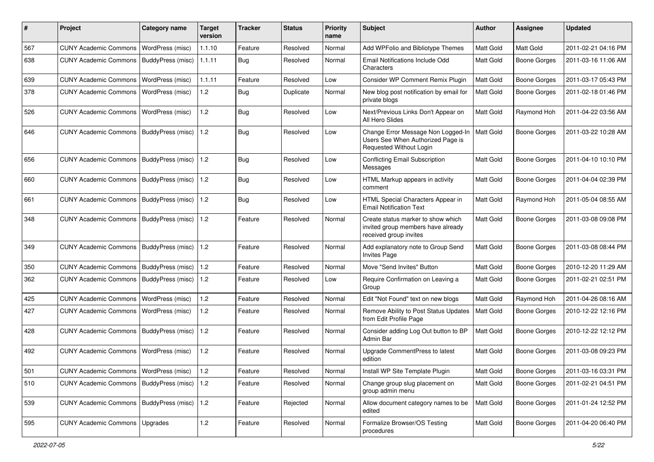| #   | Project                                   | <b>Category name</b>     | Target<br>version | <b>Tracker</b> | <b>Status</b> | <b>Priority</b><br>name | <b>Subject</b>                                                                                     | Author           | <b>Assignee</b>     | <b>Updated</b>      |
|-----|-------------------------------------------|--------------------------|-------------------|----------------|---------------|-------------------------|----------------------------------------------------------------------------------------------------|------------------|---------------------|---------------------|
| 567 | <b>CUNY Academic Commons</b>              | WordPress (misc)         | 1.1.10            | Feature        | Resolved      | Normal                  | Add WPFolio and Bibliotype Themes                                                                  | <b>Matt Gold</b> | Matt Gold           | 2011-02-21 04:16 PM |
| 638 | <b>CUNY Academic Commons</b>              | BuddyPress (misc)        | 1.1.11            | Bug            | Resolved      | Normal                  | Email Notifications Include Odd<br>Characters                                                      | Matt Gold        | <b>Boone Gorges</b> | 2011-03-16 11:06 AM |
| 639 | <b>CUNY Academic Commons</b>              | WordPress (misc)         | 1.1.11            | Feature        | Resolved      | Low                     | Consider WP Comment Remix Plugin                                                                   | Matt Gold        | <b>Boone Gorges</b> | 2011-03-17 05:43 PM |
| 378 | <b>CUNY Academic Commons</b>              | WordPress (misc)         | 1.2               | Bug            | Duplicate     | Normal                  | New blog post notification by email for<br>private blogs                                           | Matt Gold        | Boone Gorges        | 2011-02-18 01:46 PM |
| 526 | <b>CUNY Academic Commons</b>              | <b>WordPress (misc)</b>  | 1.2               | <b>Bug</b>     | Resolved      | Low                     | Next/Previous Links Don't Appear on<br>All Hero Slides                                             | Matt Gold        | Raymond Hoh         | 2011-04-22 03:56 AM |
| 646 | <b>CUNY Academic Commons</b>              | BuddyPress (misc)        | 1.2               | Bug            | Resolved      | Low                     | Change Error Message Non Logged-In<br>Users See When Authorized Page is<br>Requested Without Login | Matt Gold        | <b>Boone Gorges</b> | 2011-03-22 10:28 AM |
| 656 | <b>CUNY Academic Commons</b>              | <b>BuddyPress (misc)</b> | 1.2               | <b>Bug</b>     | Resolved      | Low                     | <b>Conflicting Email Subscription</b><br>Messages                                                  | <b>Matt Gold</b> | <b>Boone Gorges</b> | 2011-04-10 10:10 PM |
| 660 | <b>CUNY Academic Commons</b>              | BuddyPress (misc)        | 1.2               | Bug            | Resolved      | Low                     | HTML Markup appears in activity<br>comment                                                         | Matt Gold        | <b>Boone Gorges</b> | 2011-04-04 02:39 PM |
| 661 | <b>CUNY Academic Commons</b>              | BuddyPress (misc)        | 1.2               | Bug            | Resolved      | Low                     | HTML Special Characters Appear in<br><b>Email Notification Text</b>                                | Matt Gold        | Raymond Hoh         | 2011-05-04 08:55 AM |
| 348 | <b>CUNY Academic Commons</b>              | BuddyPress (misc)        | 1.2               | Feature        | Resolved      | Normal                  | Create status marker to show which<br>invited group members have already<br>received group invites | Matt Gold        | <b>Boone Gorges</b> | 2011-03-08 09:08 PM |
| 349 | <b>CUNY Academic Commons</b>              | <b>BuddyPress (misc)</b> | 1.2               | Feature        | Resolved      | Normal                  | Add explanatory note to Group Send<br><b>Invites Page</b>                                          | <b>Matt Gold</b> | <b>Boone Gorges</b> | 2011-03-08 08:44 PM |
| 350 | <b>CUNY Academic Commons</b>              | BuddyPress (misc)        | 1.2               | Feature        | Resolved      | Normal                  | Move "Send Invites" Button                                                                         | Matt Gold        | <b>Boone Gorges</b> | 2010-12-20 11:29 AM |
| 362 | <b>CUNY Academic Commons</b>              | BuddyPress (misc)        | 1.2               | Feature        | Resolved      | Low                     | Require Confirmation on Leaving a<br>Group                                                         | Matt Gold        | Boone Gorges        | 2011-02-21 02:51 PM |
| 425 | <b>CUNY Academic Commons</b>              | WordPress (misc)         | 1.2               | Feature        | Resolved      | Normal                  | Edit "Not Found" text on new blogs                                                                 | Matt Gold        | Raymond Hoh         | 2011-04-26 08:16 AM |
| 427 | <b>CUNY Academic Commons</b>              | WordPress (misc)         | 1.2               | Feature        | Resolved      | Normal                  | Remove Ability to Post Status Updates<br>from Edit Profile Page                                    | Matt Gold        | Boone Gorges        | 2010-12-22 12:16 PM |
| 428 | <b>CUNY Academic Commons</b>              | BuddyPress (misc)        | 1.2               | Feature        | Resolved      | Normal                  | Consider adding Log Out button to BP<br>Admin Bar                                                  | Matt Gold        | Boone Gorges        | 2010-12-22 12:12 PM |
| 492 | <b>CUNY Academic Commons</b>              | WordPress (misc)         | 1.2               | Feature        | Resolved      | Normal                  | Upgrade CommentPress to latest<br>edition                                                          | Matt Gold        | Boone Gorges        | 2011-03-08 09:23 PM |
| 501 | CUNY Academic Commons   WordPress (misc)  |                          | 1.2               | Feature        | Resolved      | Normal                  | Install WP Site Template Plugin                                                                    | Matt Gold        | Boone Gorges        | 2011-03-16 03:31 PM |
| 510 | CUNY Academic Commons   BuddyPress (misc) |                          | $1.2$             | Feature        | Resolved      | Normal                  | Change group slug placement on<br>group admin menu                                                 | <b>Matt Gold</b> | <b>Boone Gorges</b> | 2011-02-21 04:51 PM |
| 539 | <b>CUNY Academic Commons</b>              | BuddyPress (misc)        | $1.2$             | Feature        | Rejected      | Normal                  | Allow document category names to be<br>edited                                                      | Matt Gold        | <b>Boone Gorges</b> | 2011-01-24 12:52 PM |
| 595 | CUNY Academic Commons   Upgrades          |                          | 1.2               | Feature        | Resolved      | Normal                  | Formalize Browser/OS Testing<br>procedures                                                         | Matt Gold        | <b>Boone Gorges</b> | 2011-04-20 06:40 PM |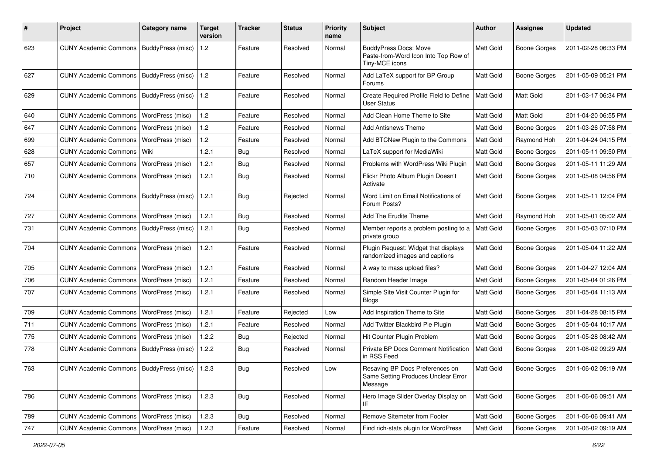| ∦   | Project                                           | Category name           | Target<br>version | <b>Tracker</b> | <b>Status</b> | <b>Priority</b><br>name | Subject                                                                                | Author           | <b>Assignee</b>     | <b>Updated</b>      |
|-----|---------------------------------------------------|-------------------------|-------------------|----------------|---------------|-------------------------|----------------------------------------------------------------------------------------|------------------|---------------------|---------------------|
| 623 | <b>CUNY Academic Commons</b>                      | BuddyPress (misc)       | 1.2               | Feature        | Resolved      | Normal                  | <b>BuddyPress Docs: Move</b><br>Paste-from-Word Icon Into Top Row of<br>Tiny-MCE icons | Matt Gold        | <b>Boone Gorges</b> | 2011-02-28 06:33 PM |
| 627 | CUNY Academic Commons   BuddyPress (misc)         |                         | 1.2               | Feature        | Resolved      | Normal                  | Add LaTeX support for BP Group<br>Forums                                               | Matt Gold        | <b>Boone Gorges</b> | 2011-05-09 05:21 PM |
| 629 | <b>CUNY Academic Commons</b>                      | BuddyPress (misc)       | 1.2               | Feature        | Resolved      | Normal                  | Create Required Profile Field to Define<br><b>User Status</b>                          | <b>Matt Gold</b> | <b>Matt Gold</b>    | 2011-03-17 06:34 PM |
| 640 | <b>CUNY Academic Commons</b>                      | WordPress (misc)        | 1.2               | Feature        | Resolved      | Normal                  | Add Clean Home Theme to Site                                                           | Matt Gold        | Matt Gold           | 2011-04-20 06:55 PM |
| 647 | <b>CUNY Academic Commons</b>                      | <b>WordPress (misc)</b> | 1.2               | Feature        | Resolved      | Normal                  | <b>Add Antisnews Theme</b>                                                             | Matt Gold        | <b>Boone Gorges</b> | 2011-03-26 07:58 PM |
| 699 | <b>CUNY Academic Commons</b>                      | WordPress (misc)        | 1.2               | Feature        | Resolved      | Normal                  | Add BTCNew Plugin to the Commons                                                       | Matt Gold        | Raymond Hoh         | 2011-04-24 04:15 PM |
| 628 | <b>CUNY Academic Commons</b>                      | l Wiki                  | 1.2.1             | Bug            | Resolved      | Normal                  | LaTeX support for MediaWiki                                                            | Matt Gold        | <b>Boone Gorges</b> | 2011-05-11 09:50 PM |
| 657 | <b>CUNY Academic Commons</b>                      | WordPress (misc)        | 1.2.1             | Bug            | Resolved      | Normal                  | Problems with WordPress Wiki Plugin                                                    | Matt Gold        | Boone Gorges        | 2011-05-11 11:29 AM |
| 710 | <b>CUNY Academic Commons</b>                      | WordPress (misc)        | 1.2.1             | Bug            | Resolved      | Normal                  | Flickr Photo Album Plugin Doesn't<br>Activate                                          | Matt Gold        | <b>Boone Gorges</b> | 2011-05-08 04:56 PM |
| 724 | CUNY Academic Commons   BuddyPress (misc)         |                         | 1.2.1             | Bug            | Rejected      | Normal                  | Word Limit on Email Notifications of<br>Forum Posts?                                   | Matt Gold        | <b>Boone Gorges</b> | 2011-05-11 12:04 PM |
| 727 | <b>CUNY Academic Commons</b>                      | WordPress (misc)        | 1.2.1             | Bug            | Resolved      | Normal                  | Add The Erudite Theme                                                                  | Matt Gold        | Raymond Hoh         | 2011-05-01 05:02 AM |
| 731 | <b>CUNY Academic Commons</b>                      | BuddyPress (misc)       | 1.2.1             | Bug            | Resolved      | Normal                  | Member reports a problem posting to a<br>private group                                 | Matt Gold        | <b>Boone Gorges</b> | 2011-05-03 07:10 PM |
| 704 | <b>CUNY Academic Commons</b>                      | WordPress (misc)        | 1.2.1             | Feature        | Resolved      | Normal                  | Plugin Request: Widget that displays<br>randomized images and captions                 | Matt Gold        | <b>Boone Gorges</b> | 2011-05-04 11:22 AM |
| 705 | <b>CUNY Academic Commons</b>                      | WordPress (misc)        | 1.2.1             | Feature        | Resolved      | Normal                  | A way to mass upload files?                                                            | Matt Gold        | <b>Boone Gorges</b> | 2011-04-27 12:04 AM |
| 706 | <b>CUNY Academic Commons</b>                      | <b>WordPress (misc)</b> | 1.2.1             | Feature        | Resolved      | Normal                  | Random Header Image                                                                    | Matt Gold        | <b>Boone Gorges</b> | 2011-05-04 01:26 PM |
| 707 | <b>CUNY Academic Commons</b>                      | WordPress (misc)        | 1.2.1             | Feature        | Resolved      | Normal                  | Simple Site Visit Counter Plugin for<br><b>Blogs</b>                                   | Matt Gold        | <b>Boone Gorges</b> | 2011-05-04 11:13 AM |
| 709 | <b>CUNY Academic Commons</b>                      | WordPress (misc)        | 1.2.1             | Feature        | Rejected      | Low                     | Add Inspiration Theme to Site                                                          | Matt Gold        | <b>Boone Gorges</b> | 2011-04-28 08:15 PM |
| 711 | <b>CUNY Academic Commons</b>                      | WordPress (misc)        | 1.2.1             | Feature        | Resolved      | Normal                  | Add Twitter Blackbird Pie Plugin                                                       | Matt Gold        | <b>Boone Gorges</b> | 2011-05-04 10:17 AM |
| 775 | <b>CUNY Academic Commons</b>                      | <b>WordPress (misc)</b> | 1.2.2             | Bug            | Rejected      | Normal                  | Hit Counter Plugin Problem                                                             | Matt Gold        | Boone Gorges        | 2011-05-28 08:42 AM |
| 778 | <b>CUNY Academic Commons</b>                      | BuddyPress (misc)       | 1.2.2             | Bug            | Resolved      | Normal                  | Private BP Docs Comment Notification<br>in RSS Feed                                    | Matt Gold        | <b>Boone Gorges</b> | 2011-06-02 09:29 AM |
| 763 | CUNY Academic Commons   BuddyPress (misc)   1.2.3 |                         |                   | <b>Bug</b>     | Resolved      | Low                     | Resaving BP Docs Preferences on<br>Same Setting Produces Unclear Error<br>Message      | Matt Gold        | Boone Gorges        | 2011-06-02 09:19 AM |
| 786 | CUNY Academic Commons   WordPress (misc)          |                         | 1.2.3             | Bug            | Resolved      | Normal                  | Hero Image Slider Overlay Display on<br>IE                                             | Matt Gold        | Boone Gorges        | 2011-06-06 09:51 AM |
| 789 | CUNY Academic Commons   WordPress (misc)          |                         | 1.2.3             | Bug            | Resolved      | Normal                  | Remove Sitemeter from Footer                                                           | Matt Gold        | Boone Gorges        | 2011-06-06 09:41 AM |
| 747 | <b>CUNY Academic Commons</b>                      | WordPress (misc)        | 1.2.3             | Feature        | Resolved      | Normal                  | Find rich-stats plugin for WordPress                                                   | Matt Gold        | <b>Boone Gorges</b> | 2011-06-02 09:19 AM |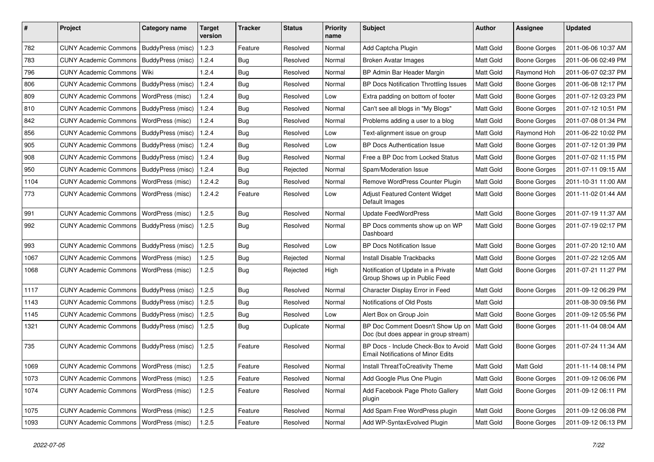| #    | Project                                  | <b>Category name</b> | <b>Target</b><br>version | <b>Tracker</b> | <b>Status</b> | <b>Priority</b><br>name | Subject                                                                           | <b>Author</b>    | Assignee            | <b>Updated</b>      |
|------|------------------------------------------|----------------------|--------------------------|----------------|---------------|-------------------------|-----------------------------------------------------------------------------------|------------------|---------------------|---------------------|
| 782  | <b>CUNY Academic Commons</b>             | BuddyPress (misc)    | 1.2.3                    | Feature        | Resolved      | Normal                  | Add Captcha Plugin                                                                | Matt Gold        | <b>Boone Gorges</b> | 2011-06-06 10:37 AM |
| 783  | <b>CUNY Academic Commons</b>             | BuddyPress (misc)    | 1.2.4                    | Bug            | Resolved      | Normal                  | <b>Broken Avatar Images</b>                                                       | Matt Gold        | <b>Boone Gorges</b> | 2011-06-06 02:49 PM |
| 796  | <b>CUNY Academic Commons</b>             | Wiki                 | 1.2.4                    | Bug            | Resolved      | Normal                  | BP Admin Bar Header Margin                                                        | Matt Gold        | Raymond Hoh         | 2011-06-07 02:37 PM |
| 806  | <b>CUNY Academic Commons</b>             | BuddyPress (misc)    | 1.2.4                    | Bug            | Resolved      | Normal                  | BP Docs Notification Throttling Issues                                            | Matt Gold        | <b>Boone Gorges</b> | 2011-06-08 12:17 PM |
| 809  | <b>CUNY Academic Commons</b>             | WordPress (misc)     | 1.2.4                    | Bug            | Resolved      | Low                     | Extra padding on bottom of footer                                                 | Matt Gold        | Boone Gorges        | 2011-07-12 03:23 PM |
| 810  | <b>CUNY Academic Commons</b>             | BuddyPress (misc)    | 1.2.4                    | <b>Bug</b>     | Resolved      | Normal                  | Can't see all blogs in "My Blogs"                                                 | Matt Gold        | Boone Gorges        | 2011-07-12 10:51 PM |
| 842  | <b>CUNY Academic Commons</b>             | WordPress (misc)     | 1.2.4                    | Bug            | Resolved      | Normal                  | Problems adding a user to a blog                                                  | Matt Gold        | <b>Boone Gorges</b> | 2011-07-08 01:34 PM |
| 856  | <b>CUNY Academic Commons</b>             | BuddyPress (misc)    | 1.2.4                    | Bug            | Resolved      | Low                     | Text-alignment issue on group                                                     | <b>Matt Gold</b> | Raymond Hoh         | 2011-06-22 10:02 PM |
| 905  | <b>CUNY Academic Commons</b>             | BuddyPress (misc)    | 1.2.4                    | Bug            | Resolved      | Low                     | <b>BP Docs Authentication Issue</b>                                               | Matt Gold        | <b>Boone Gorges</b> | 2011-07-12 01:39 PM |
| 908  | <b>CUNY Academic Commons</b>             | BuddyPress (misc)    | 1.2.4                    | Bug            | Resolved      | Normal                  | Free a BP Doc from Locked Status                                                  | Matt Gold        | Boone Gorges        | 2011-07-02 11:15 PM |
| 950  | <b>CUNY Academic Commons</b>             | BuddyPress (misc)    | 1.2.4                    | Bug            | Rejected      | Normal                  | Spam/Moderation Issue                                                             | Matt Gold        | <b>Boone Gorges</b> | 2011-07-11 09:15 AM |
| 1104 | <b>CUNY Academic Commons</b>             | WordPress (misc)     | 1.2.4.2                  | Bug            | Resolved      | Normal                  | Remove WordPress Counter Plugin                                                   | Matt Gold        | <b>Boone Gorges</b> | 2011-10-31 11:00 AM |
| 773  | <b>CUNY Academic Commons</b>             | WordPress (misc)     | 1.2.4.2                  | Feature        | Resolved      | Low                     | Adjust Featured Content Widget<br>Default Images                                  | Matt Gold        | Boone Gorges        | 2011-11-02 01:44 AM |
| 991  | <b>CUNY Academic Commons</b>             | WordPress (misc)     | 1.2.5                    | Bug            | Resolved      | Normal                  | <b>Update FeedWordPress</b>                                                       | Matt Gold        | Boone Gorges        | 2011-07-19 11:37 AM |
| 992  | <b>CUNY Academic Commons</b>             | BuddyPress (misc)    | 1.2.5                    | Bug            | Resolved      | Normal                  | BP Docs comments show up on WP<br>Dashboard                                       | Matt Gold        | <b>Boone Gorges</b> | 2011-07-19 02:17 PM |
| 993  | <b>CUNY Academic Commons</b>             | BuddyPress (misc)    | 1.2.5                    | Bug            | Resolved      | Low                     | <b>BP Docs Notification Issue</b>                                                 | <b>Matt Gold</b> | <b>Boone Gorges</b> | 2011-07-20 12:10 AM |
| 1067 | <b>CUNY Academic Commons</b>             | WordPress (misc)     | 1.2.5                    | Bug            | Rejected      | Normal                  | <b>Install Disable Trackbacks</b>                                                 | Matt Gold        | Boone Gorges        | 2011-07-22 12:05 AM |
| 1068 | <b>CUNY Academic Commons</b>             | WordPress (misc)     | 1.2.5                    | Bug            | Rejected      | High                    | Notification of Update in a Private<br>Group Shows up in Public Feed              | Matt Gold        | Boone Gorges        | 2011-07-21 11:27 PM |
| 1117 | <b>CUNY Academic Commons</b>             | BuddyPress (misc)    | 1.2.5                    | Bug            | Resolved      | Normal                  | Character Display Error in Feed                                                   | Matt Gold        | <b>Boone Gorges</b> | 2011-09-12 06:29 PM |
| 1143 | <b>CUNY Academic Commons</b>             | BuddyPress (misc)    | 1.2.5                    | Bug            | Resolved      | Normal                  | Notifications of Old Posts                                                        | Matt Gold        |                     | 2011-08-30 09:56 PM |
| 1145 | <b>CUNY Academic Commons</b>             | BuddyPress (misc)    | 1.2.5                    | Bug            | Resolved      | Low                     | Alert Box on Group Join                                                           | Matt Gold        | Boone Gorges        | 2011-09-12 05:56 PM |
| 1321 | <b>CUNY Academic Commons</b>             | BuddyPress (misc)    | 1.2.5                    | Bug            | Duplicate     | Normal                  | BP Doc Comment Doesn't Show Up on<br>Doc (but does appear in group stream)        | <b>Matt Gold</b> | Boone Gorges        | 2011-11-04 08:04 AM |
| 735  | <b>CUNY Academic Commons</b>             | BuddyPress (misc)    | 1.2.5                    | Feature        | Resolved      | Normal                  | BP Docs - Include Check-Box to Avoid<br><b>Email Notifications of Minor Edits</b> | Matt Gold        | Boone Gorges        | 2011-07-24 11:34 AM |
| 1069 | CUNY Academic Commons   WordPress (misc) |                      | 1.2.5                    | Feature        | Resolved      | Normal                  | Install ThreatToCreativity Theme                                                  | Matt Gold        | Matt Gold           | 2011-11-14 08:14 PM |
| 1073 | <b>CUNY Academic Commons</b>             | WordPress (misc)     | 1.2.5                    | Feature        | Resolved      | Normal                  | Add Google Plus One Plugin                                                        | Matt Gold        | <b>Boone Gorges</b> | 2011-09-12 06:06 PM |
| 1074 | <b>CUNY Academic Commons</b>             | WordPress (misc)     | 1.2.5                    | Feature        | Resolved      | Normal                  | Add Facebook Page Photo Gallery<br>plugin                                         | Matt Gold        | <b>Boone Gorges</b> | 2011-09-12 06:11 PM |
| 1075 | <b>CUNY Academic Commons</b>             | WordPress (misc)     | 1.2.5                    | Feature        | Resolved      | Normal                  | Add Spam Free WordPress plugin                                                    | Matt Gold        | <b>Boone Gorges</b> | 2011-09-12 06:08 PM |
| 1093 | <b>CUNY Academic Commons</b>             | WordPress (misc)     | 1.2.5                    | Feature        | Resolved      | Normal                  | Add WP-SyntaxEvolved Plugin                                                       | Matt Gold        | Boone Gorges        | 2011-09-12 06:13 PM |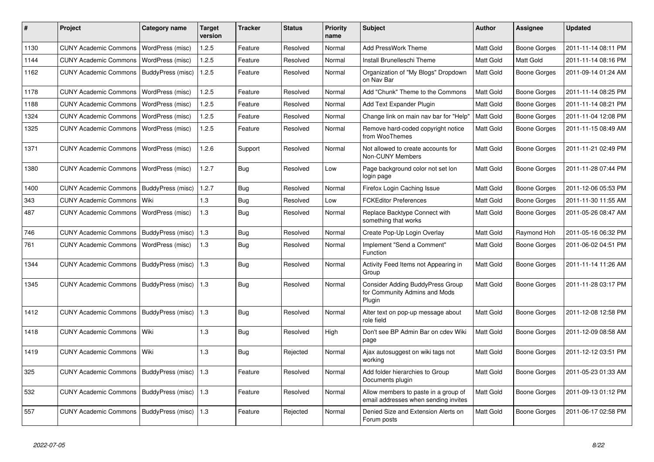| #    | Project                                   | <b>Category name</b> | <b>Target</b><br>version | <b>Tracker</b> | <b>Status</b> | <b>Priority</b><br>name | <b>Subject</b>                                                                     | <b>Author</b>    | <b>Assignee</b> | <b>Updated</b>      |
|------|-------------------------------------------|----------------------|--------------------------|----------------|---------------|-------------------------|------------------------------------------------------------------------------------|------------------|-----------------|---------------------|
| 1130 | <b>CUNY Academic Commons</b>              | WordPress (misc)     | 1.2.5                    | Feature        | Resolved      | Normal                  | Add PressWork Theme                                                                | <b>Matt Gold</b> | Boone Gorges    | 2011-11-14 08:11 PM |
| 1144 | <b>CUNY Academic Commons</b>              | WordPress (misc)     | 1.2.5                    | Feature        | Resolved      | Normal                  | Install Brunelleschi Theme                                                         | <b>Matt Gold</b> | Matt Gold       | 2011-11-14 08:16 PM |
| 1162 | <b>CUNY Academic Commons</b>              | BuddyPress (misc)    | 1.2.5                    | Feature        | Resolved      | Normal                  | Organization of "My Blogs" Dropdown<br>on Nav Bar                                  | <b>Matt Gold</b> | Boone Gorges    | 2011-09-14 01:24 AM |
| 1178 | <b>CUNY Academic Commons</b>              | WordPress (misc)     | 1.2.5                    | Feature        | Resolved      | Normal                  | Add "Chunk" Theme to the Commons                                                   | <b>Matt Gold</b> | Boone Gorges    | 2011-11-14 08:25 PM |
| 1188 | <b>CUNY Academic Commons</b>              | WordPress (misc)     | 1.2.5                    | Feature        | Resolved      | Normal                  | Add Text Expander Plugin                                                           | <b>Matt Gold</b> | Boone Gorges    | 2011-11-14 08:21 PM |
| 1324 | <b>CUNY Academic Commons</b>              | WordPress (misc)     | 1.2.5                    | Feature        | Resolved      | Normal                  | Change link on main nav bar for "Help"                                             | <b>Matt Gold</b> | Boone Gorges    | 2011-11-04 12:08 PM |
| 1325 | <b>CUNY Academic Commons</b>              | WordPress (misc)     | 1.2.5                    | Feature        | Resolved      | Normal                  | Remove hard-coded copyright notice<br>from WooThemes                               | Matt Gold        | Boone Gorges    | 2011-11-15 08:49 AM |
| 1371 | <b>CUNY Academic Commons</b>              | WordPress (misc)     | 1.2.6                    | Support        | Resolved      | Normal                  | Not allowed to create accounts for<br>Non-CUNY Members                             | <b>Matt Gold</b> | Boone Gorges    | 2011-11-21 02:49 PM |
| 1380 | <b>CUNY Academic Commons</b>              | WordPress (misc)     | 1.2.7                    | Bug            | Resolved      | Low                     | Page background color not set lon<br>login page                                    | <b>Matt Gold</b> | Boone Gorges    | 2011-11-28 07:44 PM |
| 1400 | CUNY Academic Commons   BuddyPress (misc) |                      | 1.2.7                    | Bug            | Resolved      | Normal                  | Firefox Login Caching Issue                                                        | <b>Matt Gold</b> | Boone Gorges    | 2011-12-06 05:53 PM |
| 343  | <b>CUNY Academic Commons</b>              | Wiki                 | 1.3                      | <b>Bug</b>     | Resolved      | Low                     | <b>FCKEditor Preferences</b>                                                       | <b>Matt Gold</b> | Boone Gorges    | 2011-11-30 11:55 AM |
| 487  | <b>CUNY Academic Commons</b>              | WordPress (misc)     | 1.3                      | Bug            | Resolved      | Normal                  | Replace Backtype Connect with<br>something that works                              | <b>Matt Gold</b> | Boone Gorges    | 2011-05-26 08:47 AM |
| 746  | <b>CUNY Academic Commons</b>              | BuddyPress (misc)    | 1.3                      | Bug            | Resolved      | Normal                  | Create Pop-Up Login Overlay                                                        | <b>Matt Gold</b> | Raymond Hoh     | 2011-05-16 06:32 PM |
| 761  | <b>CUNY Academic Commons</b>              | WordPress (misc)     | 1.3                      | Bug            | Resolved      | Normal                  | Implement "Send a Comment"<br>Function                                             | <b>Matt Gold</b> | Boone Gorges    | 2011-06-02 04:51 PM |
| 1344 | CUNY Academic Commons   BuddyPress (misc) |                      | 1.3                      | Bug            | Resolved      | Normal                  | Activity Feed Items not Appearing in<br>Group                                      | Matt Gold        | Boone Gorges    | 2011-11-14 11:26 AM |
| 1345 | <b>CUNY Academic Commons</b>              | BuddyPress (misc)    | 1.3                      | <b>Bug</b>     | Resolved      | Normal                  | <b>Consider Adding BuddyPress Group</b><br>for Community Admins and Mods<br>Plugin | <b>Matt Gold</b> | Boone Gorges    | 2011-11-28 03:17 PM |
| 1412 | <b>CUNY Academic Commons</b>              | BuddyPress (misc)    | 1.3                      | Bug            | Resolved      | Normal                  | Alter text on pop-up message about<br>role field                                   | <b>Matt Gold</b> | Boone Gorges    | 2011-12-08 12:58 PM |
| 1418 | <b>CUNY Academic Commons</b>              | Wiki                 | 1.3                      | Bug            | Resolved      | High                    | Don't see BP Admin Bar on cdev Wiki<br>page                                        | Matt Gold        | Boone Gorges    | 2011-12-09 08:58 AM |
| 1419 | <b>CUNY Academic Commons</b>              | Wiki                 | 1.3                      | Bug            | Rejected      | Normal                  | Ajax autosuggest on wiki tags not<br>working                                       | Matt Gold        | Boone Gorges    | 2011-12-12 03:51 PM |
| 325  | CUNY Academic Commons   BuddyPress (misc) |                      | 1.3                      | Feature        | Resolved      | Normal                  | Add folder hierarchies to Group<br>Documents plugin                                | <b>Matt Gold</b> | Boone Gorges    | 2011-05-23 01:33 AM |
| 532  | CUNY Academic Commons   BuddyPress (misc) |                      | $\vert$ 1.3              | Feature        | Resolved      | Normal                  | Allow members to paste in a group of<br>email addresses when sending invites       | Matt Gold        | Boone Gorges    | 2011-09-13 01:12 PM |
| 557  | CUNY Academic Commons   BuddyPress (misc) |                      | 1.3                      | Feature        | Rejected      | Normal                  | Denied Size and Extension Alerts on<br>Forum posts                                 | <b>Matt Gold</b> | Boone Gorges    | 2011-06-17 02:58 PM |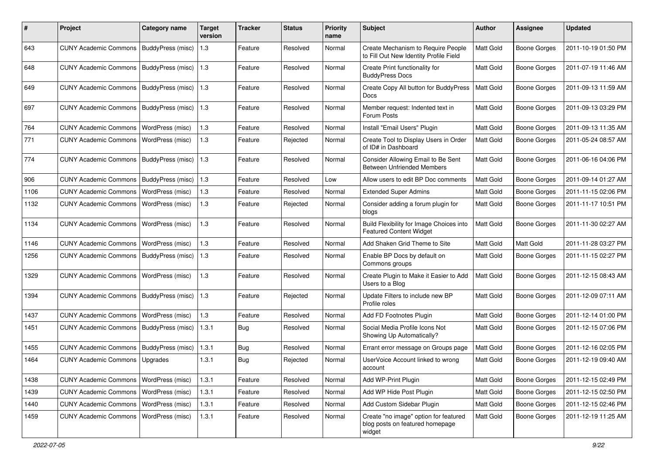| #    | Project                      | <b>Category name</b> | <b>Target</b><br>version | <b>Tracker</b> | <b>Status</b> | <b>Priority</b><br>name | <b>Subject</b>                                                                     | <b>Author</b> | <b>Assignee</b>     | <b>Updated</b>      |
|------|------------------------------|----------------------|--------------------------|----------------|---------------|-------------------------|------------------------------------------------------------------------------------|---------------|---------------------|---------------------|
| 643  | <b>CUNY Academic Commons</b> | BuddyPress (misc)    | 1.3                      | Feature        | Resolved      | Normal                  | Create Mechanism to Require People<br>to Fill Out New Identity Profile Field       | Matt Gold     | <b>Boone Gorges</b> | 2011-10-19 01:50 PM |
| 648  | <b>CUNY Academic Commons</b> | BuddyPress (misc)    | 1.3                      | Feature        | Resolved      | Normal                  | Create Print functionality for<br><b>BuddyPress Docs</b>                           | Matt Gold     | <b>Boone Gorges</b> | 2011-07-19 11:46 AM |
| 649  | <b>CUNY Academic Commons</b> | BuddyPress (misc)    | 1.3                      | Feature        | Resolved      | Normal                  | Create Copy All button for BuddyPress<br>Docs                                      | Matt Gold     | <b>Boone Gorges</b> | 2011-09-13 11:59 AM |
| 697  | <b>CUNY Academic Commons</b> | BuddyPress (misc)    | 1.3                      | Feature        | Resolved      | Normal                  | Member request: Indented text in<br>Forum Posts                                    | Matt Gold     | <b>Boone Gorges</b> | 2011-09-13 03:29 PM |
| 764  | <b>CUNY Academic Commons</b> | WordPress (misc)     | 1.3                      | Feature        | Resolved      | Normal                  | Install "Email Users" Plugin                                                       | Matt Gold     | <b>Boone Gorges</b> | 2011-09-13 11:35 AM |
| 771  | <b>CUNY Academic Commons</b> | WordPress (misc)     | 1.3                      | Feature        | Rejected      | Normal                  | Create Tool to Display Users in Order<br>of ID# in Dashboard                       | Matt Gold     | <b>Boone Gorges</b> | 2011-05-24 08:57 AM |
| 774  | <b>CUNY Academic Commons</b> | BuddyPress (misc)    | 1.3                      | Feature        | Resolved      | Normal                  | Consider Allowing Email to Be Sent<br><b>Between Unfriended Members</b>            | Matt Gold     | <b>Boone Gorges</b> | 2011-06-16 04:06 PM |
| 906  | <b>CUNY Academic Commons</b> | BuddyPress (misc)    | 1.3                      | Feature        | Resolved      | Low                     | Allow users to edit BP Doc comments                                                | Matt Gold     | <b>Boone Gorges</b> | 2011-09-14 01:27 AM |
| 1106 | <b>CUNY Academic Commons</b> | WordPress (misc)     | 1.3                      | Feature        | Resolved      | Normal                  | <b>Extended Super Admins</b>                                                       | Matt Gold     | <b>Boone Gorges</b> | 2011-11-15 02:06 PM |
| 1132 | <b>CUNY Academic Commons</b> | WordPress (misc)     | 1.3                      | Feature        | Rejected      | Normal                  | Consider adding a forum plugin for<br>blogs                                        | Matt Gold     | <b>Boone Gorges</b> | 2011-11-17 10:51 PM |
| 1134 | <b>CUNY Academic Commons</b> | WordPress (misc)     | 1.3                      | Feature        | Resolved      | Normal                  | Build Flexibility for Image Choices into<br><b>Featured Content Widget</b>         | Matt Gold     | <b>Boone Gorges</b> | 2011-11-30 02:27 AM |
| 1146 | <b>CUNY Academic Commons</b> | WordPress (misc)     | 1.3                      | Feature        | Resolved      | Normal                  | Add Shaken Grid Theme to Site                                                      | Matt Gold     | <b>Matt Gold</b>    | 2011-11-28 03:27 PM |
| 1256 | <b>CUNY Academic Commons</b> | BuddyPress (misc)    | 1.3                      | Feature        | Resolved      | Normal                  | Enable BP Docs by default on<br>Commons groups                                     | Matt Gold     | <b>Boone Gorges</b> | 2011-11-15 02:27 PM |
| 1329 | <b>CUNY Academic Commons</b> | WordPress (misc)     | 1.3                      | Feature        | Resolved      | Normal                  | Create Plugin to Make it Easier to Add<br>Users to a Blog                          | Matt Gold     | <b>Boone Gorges</b> | 2011-12-15 08:43 AM |
| 1394 | <b>CUNY Academic Commons</b> | BuddyPress (misc)    | 1.3                      | Feature        | Rejected      | Normal                  | Update Filters to include new BP<br>Profile roles                                  | Matt Gold     | <b>Boone Gorges</b> | 2011-12-09 07:11 AM |
| 1437 | <b>CUNY Academic Commons</b> | WordPress (misc)     | 1.3                      | Feature        | Resolved      | Normal                  | Add FD Footnotes Plugin                                                            | Matt Gold     | Boone Gorges        | 2011-12-14 01:00 PM |
| 1451 | <b>CUNY Academic Commons</b> | BuddyPress (misc)    | 1.3.1                    | Bug            | Resolved      | Normal                  | Social Media Profile Icons Not<br>Showing Up Automatically?                        | Matt Gold     | <b>Boone Gorges</b> | 2011-12-15 07:06 PM |
| 1455 | <b>CUNY Academic Commons</b> | BuddyPress (misc)    | 1.3.1                    | Bug            | Resolved      | Normal                  | Errant error message on Groups page                                                | Matt Gold     | <b>Boone Gorges</b> | 2011-12-16 02:05 PM |
| 1464 | <b>CUNY Academic Commons</b> | Upgrades             | 1.3.1                    | <b>Bug</b>     | Rejected      | Normal                  | UserVoice Account linked to wrong<br>account                                       | Matt Gold     | <b>Boone Gorges</b> | 2011-12-19 09:40 AM |
| 1438 | <b>CUNY Academic Commons</b> | WordPress (misc)     | 1.3.1                    | Feature        | Resolved      | Normal                  | Add WP-Print Plugin                                                                | Matt Gold     | Boone Gorges        | 2011-12-15 02:49 PM |
| 1439 | <b>CUNY Academic Commons</b> | WordPress (misc)     | 1.3.1                    | Feature        | Resolved      | Normal                  | Add WP Hide Post Plugin                                                            | Matt Gold     | Boone Gorges        | 2011-12-15 02:50 PM |
| 1440 | <b>CUNY Academic Commons</b> | WordPress (misc)     | 1.3.1                    | Feature        | Resolved      | Normal                  | Add Custom Sidebar Plugin                                                          | Matt Gold     | <b>Boone Gorges</b> | 2011-12-15 02:46 PM |
| 1459 | <b>CUNY Academic Commons</b> | WordPress (misc)     | 1.3.1                    | Feature        | Resolved      | Normal                  | Create "no image" option for featured<br>blog posts on featured homepage<br>widget | Matt Gold     | <b>Boone Gorges</b> | 2011-12-19 11:25 AM |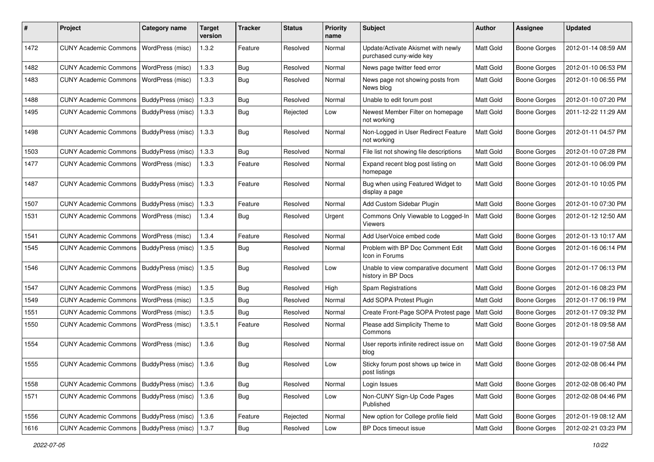| #    | Project                                   | <b>Category name</b> | <b>Target</b><br>version | <b>Tracker</b> | <b>Status</b> | <b>Priority</b><br>name | Subject                                                       | Author           | Assignee            | <b>Updated</b>      |
|------|-------------------------------------------|----------------------|--------------------------|----------------|---------------|-------------------------|---------------------------------------------------------------|------------------|---------------------|---------------------|
| 1472 | <b>CUNY Academic Commons</b>              | WordPress (misc)     | 1.3.2                    | Feature        | Resolved      | Normal                  | Update/Activate Akismet with newly<br>purchased cuny-wide key | Matt Gold        | <b>Boone Gorges</b> | 2012-01-14 08:59 AM |
| 1482 | <b>CUNY Academic Commons</b>              | WordPress (misc)     | 1.3.3                    | <b>Bug</b>     | Resolved      | Normal                  | News page twitter feed error                                  | Matt Gold        | Boone Gorges        | 2012-01-10 06:53 PM |
| 1483 | <b>CUNY Academic Commons</b>              | WordPress (misc)     | 1.3.3                    | Bug            | Resolved      | Normal                  | News page not showing posts from<br>News blog                 | Matt Gold        | Boone Gorges        | 2012-01-10 06:55 PM |
| 1488 | <b>CUNY Academic Commons</b>              | BuddyPress (misc)    | 1.3.3                    | <b>Bug</b>     | Resolved      | Normal                  | Unable to edit forum post                                     | Matt Gold        | Boone Gorges        | 2012-01-10 07:20 PM |
| 1495 | <b>CUNY Academic Commons</b>              | BuddyPress (misc)    | 1.3.3                    | Bug            | Rejected      | Low                     | Newest Member Filter on homepage<br>not working               | Matt Gold        | <b>Boone Gorges</b> | 2011-12-22 11:29 AM |
| 1498 | <b>CUNY Academic Commons</b>              | BuddyPress (misc)    | 1.3.3                    | Bug            | Resolved      | Normal                  | Non-Logged in User Redirect Feature<br>not working            | <b>Matt Gold</b> | Boone Gorges        | 2012-01-11 04:57 PM |
| 1503 | <b>CUNY Academic Commons</b>              | BuddyPress (misc)    | 1.3.3                    | Bug            | Resolved      | Normal                  | File list not showing file descriptions                       | Matt Gold        | Boone Gorges        | 2012-01-10 07:28 PM |
| 1477 | <b>CUNY Academic Commons</b>              | WordPress (misc)     | 1.3.3                    | Feature        | Resolved      | Normal                  | Expand recent blog post listing on<br>homepage                | <b>Matt Gold</b> | Boone Gorges        | 2012-01-10 06:09 PM |
| 1487 | <b>CUNY Academic Commons</b>              | BuddyPress (misc)    | 1.3.3                    | Feature        | Resolved      | Normal                  | Bug when using Featured Widget to<br>display a page           | <b>Matt Gold</b> | <b>Boone Gorges</b> | 2012-01-10 10:05 PM |
| 1507 | <b>CUNY Academic Commons</b>              | BuddyPress (misc)    | 1.3.3                    | Feature        | Resolved      | Normal                  | Add Custom Sidebar Plugin                                     | Matt Gold        | <b>Boone Gorges</b> | 2012-01-10 07:30 PM |
| 1531 | <b>CUNY Academic Commons</b>              | WordPress (misc)     | 1.3.4                    | Bug            | Resolved      | Urgent                  | Commons Only Viewable to Logged-In<br>Viewers                 | Matt Gold        | Boone Gorges        | 2012-01-12 12:50 AM |
| 1541 | <b>CUNY Academic Commons</b>              | WordPress (misc)     | 1.3.4                    | Feature        | Resolved      | Normal                  | Add UserVoice embed code                                      | Matt Gold        | <b>Boone Gorges</b> | 2012-01-13 10:17 AM |
| 1545 | <b>CUNY Academic Commons</b>              | BuddyPress (misc)    | 1.3.5                    | Bug            | Resolved      | Normal                  | Problem with BP Doc Comment Edit<br>Icon in Forums            | <b>Matt Gold</b> | Boone Gorges        | 2012-01-16 06:14 PM |
| 1546 | CUNY Academic Commons   BuddyPress (misc) |                      | 1.3.5                    | Bug            | Resolved      | Low                     | Unable to view comparative document<br>history in BP Docs     | Matt Gold        | <b>Boone Gorges</b> | 2012-01-17 06:13 PM |
| 1547 | <b>CUNY Academic Commons</b>              | WordPress (misc)     | 1.3.5                    | Bug            | Resolved      | High                    | Spam Registrations                                            | Matt Gold        | <b>Boone Gorges</b> | 2012-01-16 08:23 PM |
| 1549 | <b>CUNY Academic Commons</b>              | WordPress (misc)     | 1.3.5                    | Bug            | Resolved      | Normal                  | Add SOPA Protest Plugin                                       | Matt Gold        | <b>Boone Gorges</b> | 2012-01-17 06:19 PM |
| 1551 | <b>CUNY Academic Commons</b>              | WordPress (misc)     | 1.3.5                    | Bug            | Resolved      | Normal                  | Create Front-Page SOPA Protest page                           | Matt Gold        | <b>Boone Gorges</b> | 2012-01-17 09:32 PM |
| 1550 | <b>CUNY Academic Commons</b>              | WordPress (misc)     | 1.3.5.1                  | Feature        | Resolved      | Normal                  | Please add Simplicity Theme to<br>Commons                     | Matt Gold        | Boone Gorges        | 2012-01-18 09:58 AM |
| 1554 | <b>CUNY Academic Commons</b>              | WordPress (misc)     | 1.3.6                    | Bug            | Resolved      | Normal                  | User reports infinite redirect issue on<br>blog               | Matt Gold        | Boone Gorges        | 2012-01-19 07:58 AM |
| 1555 | CUNY Academic Commons   BuddyPress (misc) |                      | 1.3.6                    | Bug            | Resolved      | Low                     | Sticky forum post shows up twice in<br>post listings          | Matt Gold        | <b>Boone Gorges</b> | 2012-02-08 06:44 PM |
| 1558 | CUNY Academic Commons   BuddyPress (misc) |                      | 1.3.6                    | Bug            | Resolved      | Normal                  | Login Issues                                                  | Matt Gold        | Boone Gorges        | 2012-02-08 06:40 PM |
| 1571 | CUNY Academic Commons   BuddyPress (misc) |                      | 1.3.6                    | <b>Bug</b>     | Resolved      | Low                     | Non-CUNY Sign-Up Code Pages<br>Published                      | Matt Gold        | Boone Gorges        | 2012-02-08 04:46 PM |
| 1556 | CUNY Academic Commons   BuddyPress (misc) |                      | 1.3.6                    | Feature        | Rejected      | Normal                  | New option for College profile field                          | Matt Gold        | Boone Gorges        | 2012-01-19 08:12 AM |
| 1616 | CUNY Academic Commons   BuddyPress (misc) |                      | 1.3.7                    | <b>Bug</b>     | Resolved      | Low                     | BP Docs timeout issue                                         | Matt Gold        | <b>Boone Gorges</b> | 2012-02-21 03:23 PM |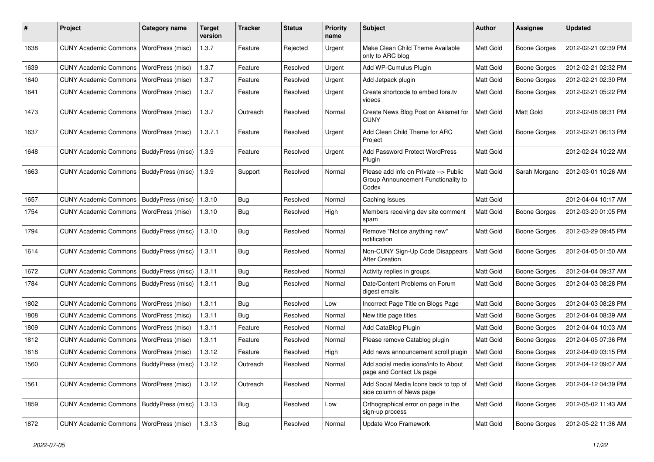| $\#$ | Project                                   | <b>Category name</b>     | <b>Target</b><br>version | <b>Tracker</b> | <b>Status</b> | <b>Priority</b><br>name | <b>Subject</b>                                                                        | <b>Author</b> | <b>Assignee</b>     | <b>Updated</b>      |
|------|-------------------------------------------|--------------------------|--------------------------|----------------|---------------|-------------------------|---------------------------------------------------------------------------------------|---------------|---------------------|---------------------|
| 1638 | <b>CUNY Academic Commons</b>              | WordPress (misc)         | 1.3.7                    | Feature        | Rejected      | Urgent                  | Make Clean Child Theme Available<br>only to ARC blog                                  | Matt Gold     | <b>Boone Gorges</b> | 2012-02-21 02:39 PM |
| 1639 | <b>CUNY Academic Commons</b>              | WordPress (misc)         | 1.3.7                    | Feature        | Resolved      | Urgent                  | Add WP-Cumulus Plugin                                                                 | Matt Gold     | <b>Boone Gorges</b> | 2012-02-21 02:32 PM |
| 1640 | <b>CUNY Academic Commons</b>              | WordPress (misc)         | 1.3.7                    | Feature        | Resolved      | Urgent                  | Add Jetpack plugin                                                                    | Matt Gold     | <b>Boone Gorges</b> | 2012-02-21 02:30 PM |
| 1641 | <b>CUNY Academic Commons</b>              | WordPress (misc)         | 1.3.7                    | Feature        | Resolved      | Urgent                  | Create shortcode to embed fora.tv<br>videos                                           | Matt Gold     | <b>Boone Gorges</b> | 2012-02-21 05:22 PM |
| 1473 | <b>CUNY Academic Commons</b>              | WordPress (misc)         | 1.3.7                    | Outreach       | Resolved      | Normal                  | Create News Blog Post on Akismet for<br>CUNY                                          | Matt Gold     | Matt Gold           | 2012-02-08 08:31 PM |
| 1637 | <b>CUNY Academic Commons</b>              | WordPress (misc)         | 1.3.7.1                  | Feature        | Resolved      | Urgent                  | Add Clean Child Theme for ARC<br>Project                                              | Matt Gold     | <b>Boone Gorges</b> | 2012-02-21 06:13 PM |
| 1648 | <b>CUNY Academic Commons</b>              | BuddyPress (misc)        | 1.3.9                    | Feature        | Resolved      | Urgent                  | <b>Add Password Protect WordPress</b><br>Plugin                                       | Matt Gold     |                     | 2012-02-24 10:22 AM |
| 1663 | <b>CUNY Academic Commons</b>              | BuddyPress (misc)        | 1.3.9                    | Support        | Resolved      | Normal                  | Please add info on Private --> Public<br>Group Announcement Functionality to<br>Codex | Matt Gold     | Sarah Morgano       | 2012-03-01 10:26 AM |
| 1657 | <b>CUNY Academic Commons</b>              | BuddyPress (misc)        | 1.3.10                   | Bug            | Resolved      | Normal                  | Caching Issues                                                                        | Matt Gold     |                     | 2012-04-04 10:17 AM |
| 1754 | <b>CUNY Academic Commons</b>              | WordPress (misc)         | 1.3.10                   | Bug            | Resolved      | High                    | Members receiving dev site comment<br>spam                                            | Matt Gold     | <b>Boone Gorges</b> | 2012-03-20 01:05 PM |
| 1794 | <b>CUNY Academic Commons</b>              | BuddyPress (misc)        | 1.3.10                   | Bug            | Resolved      | Normal                  | Remove "Notice anything new"<br>notification                                          | Matt Gold     | <b>Boone Gorges</b> | 2012-03-29 09:45 PM |
| 1614 | <b>CUNY Academic Commons</b>              | BuddyPress (misc)        | 1.3.11                   | Bug            | Resolved      | Normal                  | Non-CUNY Sign-Up Code Disappears<br><b>After Creation</b>                             | Matt Gold     | <b>Boone Gorges</b> | 2012-04-05 01:50 AM |
| 1672 | <b>CUNY Academic Commons</b>              | BuddyPress (misc)        | 1.3.11                   | <b>Bug</b>     | Resolved      | Normal                  | Activity replies in groups                                                            | Matt Gold     | <b>Boone Gorges</b> | 2012-04-04 09:37 AM |
| 1784 | <b>CUNY Academic Commons</b>              | BuddyPress (misc)        | 1.3.11                   | <b>Bug</b>     | Resolved      | Normal                  | Date/Content Problems on Forum<br>digest emails                                       | Matt Gold     | <b>Boone Gorges</b> | 2012-04-03 08:28 PM |
| 1802 | <b>CUNY Academic Commons</b>              | WordPress (misc)         | 1.3.11                   | Bug            | Resolved      | Low                     | Incorrect Page Title on Blogs Page                                                    | Matt Gold     | <b>Boone Gorges</b> | 2012-04-03 08:28 PM |
| 1808 | <b>CUNY Academic Commons</b>              | WordPress (misc)         | 1.3.11                   | <b>Bug</b>     | Resolved      | Normal                  | New title page titles                                                                 | Matt Gold     | <b>Boone Gorges</b> | 2012-04-04 08:39 AM |
| 1809 | <b>CUNY Academic Commons</b>              | WordPress (misc)         | 1.3.11                   | Feature        | Resolved      | Normal                  | Add CataBlog Plugin                                                                   | Matt Gold     | <b>Boone Gorges</b> | 2012-04-04 10:03 AM |
| 1812 | <b>CUNY Academic Commons</b>              | WordPress (misc)         | 1.3.11                   | Feature        | Resolved      | Normal                  | Please remove Catablog plugin                                                         | Matt Gold     | <b>Boone Gorges</b> | 2012-04-05 07:36 PM |
| 1818 | <b>CUNY Academic Commons</b>              | WordPress (misc)         | 1.3.12                   | Feature        | Resolved      | High                    | Add news announcement scroll plugin                                                   | Matt Gold     | <b>Boone Gorges</b> | 2012-04-09 03:15 PM |
| 1560 | CUNY Academic Commons   BuddyPress (misc) |                          | 1.3.12                   | Outreach       | Resolved      | Normal                  | Add social media icons/info to About<br>page and Contact Us page                      | Matt Gold     | <b>Boone Gorges</b> | 2012-04-12 09:07 AM |
| 1561 | <b>CUNY Academic Commons</b>              | WordPress (misc)         | 1.3.12                   | Outreach       | Resolved      | Normal                  | Add Social Media Icons back to top of<br>side column of News page                     | Matt Gold     | Boone Gorges        | 2012-04-12 04:39 PM |
| 1859 | <b>CUNY Academic Commons</b>              | <b>BuddyPress (misc)</b> | 1.3.13                   | <b>Bug</b>     | Resolved      | Low                     | Orthographical error on page in the<br>sign-up process                                | Matt Gold     | <b>Boone Gorges</b> | 2012-05-02 11:43 AM |
| 1872 | CUNY Academic Commons   WordPress (misc)  |                          | 1.3.13                   | <b>Bug</b>     | Resolved      | Normal                  | Update Woo Framework                                                                  | Matt Gold     | <b>Boone Gorges</b> | 2012-05-22 11:36 AM |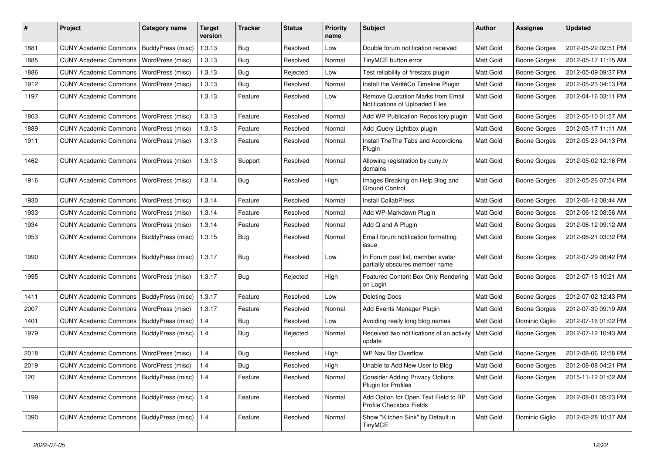| #    | Project                                         | Category name     | <b>Target</b><br>version | <b>Tracker</b> | <b>Status</b> | <b>Priority</b><br>name | <b>Subject</b>                                                              | <b>Author</b>    | Assignee            | <b>Updated</b>      |
|------|-------------------------------------------------|-------------------|--------------------------|----------------|---------------|-------------------------|-----------------------------------------------------------------------------|------------------|---------------------|---------------------|
| 1881 | <b>CUNY Academic Commons</b>                    | BuddyPress (misc) | 1.3.13                   | <b>Bug</b>     | Resolved      | Low                     | Double forum notification received                                          | <b>Matt Gold</b> | <b>Boone Gorges</b> | 2012-05-22 02:51 PM |
| 1885 | <b>CUNY Academic Commons</b>                    | WordPress (misc)  | 1.3.13                   | Bug            | Resolved      | Normal                  | TinyMCE button error                                                        | Matt Gold        | <b>Boone Gorges</b> | 2012-05-17 11:15 AM |
| 1886 | <b>CUNY Academic Commons</b>                    | WordPress (misc)  | 1.3.13                   | Bug            | Rejected      | Low                     | Test reliability of firestats plugin                                        | Matt Gold        | Boone Gorges        | 2012-05-09 09:37 PM |
| 1912 | <b>CUNY Academic Commons</b>                    | WordPress (misc)  | 1.3.13                   | Bug            | Resolved      | Normal                  | Install the VéritéCo Timeline Plugin                                        | Matt Gold        | Boone Gorges        | 2012-05-23 04:13 PM |
| 1197 | <b>CUNY Academic Commons</b>                    |                   | 1.3.13                   | Feature        | Resolved      | Low                     | <b>Remove Quotation Marks from Email</b><br>Notifications of Uploaded Files | Matt Gold        | Boone Gorges        | 2012-04-16 03:11 PM |
| 1863 | <b>CUNY Academic Commons</b>                    | WordPress (misc)  | 1.3.13                   | Feature        | Resolved      | Normal                  | Add WP Publication Repository plugin                                        | Matt Gold        | <b>Boone Gorges</b> | 2012-05-10 01:57 AM |
| 1889 | <b>CUNY Academic Commons</b>                    | WordPress (misc)  | 1.3.13                   | Feature        | Resolved      | Normal                  | Add jQuery Lightbox plugin                                                  | Matt Gold        | Boone Gorges        | 2012-05-17 11:11 AM |
| 1911 | <b>CUNY Academic Commons</b>                    | WordPress (misc)  | 1.3.13                   | Feature        | Resolved      | Normal                  | <b>Install TheThe Tabs and Accordions</b><br>Plugin                         | <b>Matt Gold</b> | Boone Gorges        | 2012-05-23 04:13 PM |
| 1462 | <b>CUNY Academic Commons</b>                    | WordPress (misc)  | 1.3.13                   | Support        | Resolved      | Normal                  | Allowing registration by cuny.tv<br>domains                                 | Matt Gold        | Boone Gorges        | 2012-05-02 12:16 PM |
| 1916 | <b>CUNY Academic Commons</b>                    | WordPress (misc)  | 1.3.14                   | Bug            | Resolved      | High                    | Images Breaking on Help Blog and<br><b>Ground Control</b>                   | Matt Gold        | <b>Boone Gorges</b> | 2012-05-26 07:54 PM |
| 1930 | <b>CUNY Academic Commons</b>                    | WordPress (misc)  | 1.3.14                   | Feature        | Resolved      | Normal                  | <b>Install CollabPress</b>                                                  | Matt Gold        | <b>Boone Gorges</b> | 2012-06-12 08:44 AM |
| 1933 | <b>CUNY Academic Commons</b>                    | WordPress (misc)  | 1.3.14                   | Feature        | Resolved      | Normal                  | Add WP-Markdown Plugin                                                      | Matt Gold        | Boone Gorges        | 2012-06-12 08:56 AM |
| 1934 | <b>CUNY Academic Commons</b>                    | WordPress (misc)  | 1.3.14                   | Feature        | Resolved      | Normal                  | Add Q and A Plugin                                                          | Matt Gold        | Boone Gorges        | 2012-06-12 09:12 AM |
| 1953 | <b>CUNY Academic Commons</b>                    | BuddyPress (misc) | 1.3.15                   | Bug            | Resolved      | Normal                  | Email forum notification formatting<br>issue                                | Matt Gold        | <b>Boone Gorges</b> | 2012-06-21 03:32 PM |
| 1990 | <b>CUNY Academic Commons</b>                    | BuddyPress (misc) | 1.3.17                   | <b>Bug</b>     | Resolved      | Low                     | In Forum post list, member avatar<br>partially obscures member name         | <b>Matt Gold</b> | <b>Boone Gorges</b> | 2012-07-29 08:42 PM |
| 1995 | <b>CUNY Academic Commons</b>                    | WordPress (misc)  | 1.3.17                   | Bug            | Rejected      | High                    | Featured Content Box Only Rendering<br>on Login                             | Matt Gold        | <b>Boone Gorges</b> | 2012-07-15 10:21 AM |
| 1411 | <b>CUNY Academic Commons</b>                    | BuddyPress (misc) | 1.3.17                   | Feature        | Resolved      | Low                     | <b>Deleting Docs</b>                                                        | Matt Gold        | <b>Boone Gorges</b> | 2012-07-02 12:43 PM |
| 2007 | <b>CUNY Academic Commons</b>                    | WordPress (misc)  | 1.3.17                   | Feature        | Resolved      | Normal                  | Add Events Manager Plugin                                                   | Matt Gold        | <b>Boone Gorges</b> | 2012-07-30 09:19 AM |
| 1401 | <b>CUNY Academic Commons</b>                    | BuddyPress (misc) | 1.4                      | <b>Bug</b>     | Resolved      | Low                     | Avoiding really long blog names                                             | Matt Gold        | Dominic Giglio      | 2012-07-16 01:02 PM |
| 1979 | <b>CUNY Academic Commons</b>                    | BuddyPress (misc) | 1.4                      | Bug            | Rejected      | Normal                  | Received two notifications of an activity<br>update                         | <b>Matt Gold</b> | Boone Gorges        | 2012-07-12 10:43 AM |
| 2018 | <b>CUNY Academic Commons</b>                    | WordPress (misc)  | 1.4                      | <b>Bug</b>     | Resolved      | High                    | WP Nav Bar Overflow                                                         | Matt Gold        | <b>Boone Gorges</b> | 2012-08-06 12:58 PM |
| 2019 | CUNY Academic Commons   WordPress (misc)        |                   | 1.4                      | <b>Bug</b>     | Resolved      | High                    | Unable to Add New User to Blog                                              | <b>Matt Gold</b> | <b>Boone Gorges</b> | 2012-08-08 04:21 PM |
| 120  | CUNY Academic Commons   BuddyPress (misc)       |                   | 1.4                      | Feature        | Resolved      | Normal                  | <b>Consider Adding Privacy Options</b><br><b>Plugin for Profiles</b>        | Matt Gold        | <b>Boone Gorges</b> | 2015-11-12 01:02 AM |
| 1199 | CUNY Academic Commons   BuddyPress (misc)   1.4 |                   |                          | Feature        | Resolved      | Normal                  | Add Option for Open Text Field to BP<br>Profile Checkbox Fields             | Matt Gold        | <b>Boone Gorges</b> | 2012-08-01 05:23 PM |
| 1390 | <b>CUNY Academic Commons</b>                    | BuddyPress (misc) | 1.4                      | Feature        | Resolved      | Normal                  | Show "Kitchen Sink" by Default in<br>TinyMCE                                | Matt Gold        | Dominic Giglio      | 2012-02-28 10:37 AM |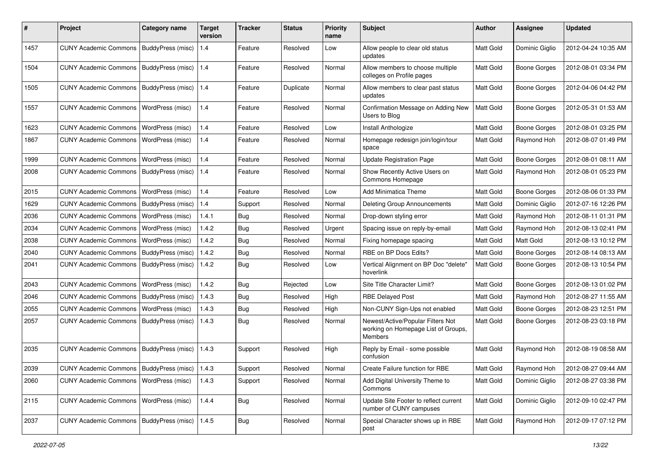| #    | Project                                           | <b>Category name</b>     | <b>Target</b><br>version | <b>Tracker</b> | <b>Status</b> | <b>Priority</b><br>name | <b>Subject</b>                                                                             | <b>Author</b> | <b>Assignee</b>     | <b>Updated</b>      |
|------|---------------------------------------------------|--------------------------|--------------------------|----------------|---------------|-------------------------|--------------------------------------------------------------------------------------------|---------------|---------------------|---------------------|
| 1457 | <b>CUNY Academic Commons</b>                      | BuddyPress (misc)        | 1.4                      | Feature        | Resolved      | Low                     | Allow people to clear old status<br>updates                                                | Matt Gold     | Dominic Giglio      | 2012-04-24 10:35 AM |
| 1504 | <b>CUNY Academic Commons</b>                      | <b>BuddyPress (misc)</b> | 1.4                      | Feature        | Resolved      | Normal                  | Allow members to choose multiple<br>colleges on Profile pages                              | Matt Gold     | <b>Boone Gorges</b> | 2012-08-01 03:34 PM |
| 1505 | <b>CUNY Academic Commons</b>                      | BuddyPress (misc)        | 1.4                      | Feature        | Duplicate     | Normal                  | Allow members to clear past status<br>updates                                              | Matt Gold     | <b>Boone Gorges</b> | 2012-04-06 04:42 PM |
| 1557 | <b>CUNY Academic Commons</b>                      | WordPress (misc)         | 1.4                      | Feature        | Resolved      | Normal                  | Confirmation Message on Adding New<br>Users to Blog                                        | Matt Gold     | <b>Boone Gorges</b> | 2012-05-31 01:53 AM |
| 1623 | <b>CUNY Academic Commons</b>                      | WordPress (misc)         | 1.4                      | Feature        | Resolved      | Low                     | Install Anthologize                                                                        | Matt Gold     | <b>Boone Gorges</b> | 2012-08-01 03:25 PM |
| 1867 | <b>CUNY Academic Commons</b>                      | WordPress (misc)         | 1.4                      | Feature        | Resolved      | Normal                  | Homepage redesign join/login/tour<br>space                                                 | Matt Gold     | Raymond Hoh         | 2012-08-07 01:49 PM |
| 1999 | <b>CUNY Academic Commons</b>                      | WordPress (misc)         | 1.4                      | Feature        | Resolved      | Normal                  | <b>Update Registration Page</b>                                                            | Matt Gold     | <b>Boone Gorges</b> | 2012-08-01 08:11 AM |
| 2008 | <b>CUNY Academic Commons</b>                      | BuddyPress (misc)        | 1.4                      | Feature        | Resolved      | Normal                  | Show Recently Active Users on<br>Commons Homepage                                          | Matt Gold     | Raymond Hoh         | 2012-08-01 05:23 PM |
| 2015 | <b>CUNY Academic Commons</b>                      | WordPress (misc)         | 1.4                      | Feature        | Resolved      | Low                     | <b>Add Minimatica Theme</b>                                                                | Matt Gold     | <b>Boone Gorges</b> | 2012-08-06 01:33 PM |
| 1629 | <b>CUNY Academic Commons</b>                      | BuddyPress (misc)        | 1.4                      | Support        | Resolved      | Normal                  | Deleting Group Announcements                                                               | Matt Gold     | Dominic Giglio      | 2012-07-16 12:26 PM |
| 2036 | <b>CUNY Academic Commons</b>                      | WordPress (misc)         | 1.4.1                    | Bug            | Resolved      | Normal                  | Drop-down styling error                                                                    | Matt Gold     | Raymond Hoh         | 2012-08-11 01:31 PM |
| 2034 | <b>CUNY Academic Commons</b>                      | WordPress (misc)         | 1.4.2                    | Bug            | Resolved      | Urgent                  | Spacing issue on reply-by-email                                                            | Matt Gold     | Raymond Hoh         | 2012-08-13 02:41 PM |
| 2038 | <b>CUNY Academic Commons</b>                      | WordPress (misc)         | 1.4.2                    | <b>Bug</b>     | Resolved      | Normal                  | Fixing homepage spacing                                                                    | Matt Gold     | Matt Gold           | 2012-08-13 10:12 PM |
| 2040 | <b>CUNY Academic Commons</b>                      | <b>BuddyPress (misc)</b> | 1.4.2                    | Bug            | Resolved      | Normal                  | RBE on BP Docs Edits?                                                                      | Matt Gold     | <b>Boone Gorges</b> | 2012-08-14 08:13 AM |
| 2041 | <b>CUNY Academic Commons</b>                      | BuddyPress (misc)        | 1.4.2                    | Bug            | Resolved      | Low                     | Vertical Alignment on BP Doc "delete"<br>hoverlink                                         | Matt Gold     | <b>Boone Gorges</b> | 2012-08-13 10:54 PM |
| 2043 | <b>CUNY Academic Commons</b>                      | WordPress (misc)         | 1.4.2                    | Bug            | Rejected      | Low                     | Site Title Character Limit?                                                                | Matt Gold     | <b>Boone Gorges</b> | 2012-08-13 01:02 PM |
| 2046 | <b>CUNY Academic Commons</b>                      | BuddyPress (misc)        | 1.4.3                    | <b>Bug</b>     | Resolved      | High                    | <b>RBE Delayed Post</b>                                                                    | Matt Gold     | Raymond Hoh         | 2012-08-27 11:55 AM |
| 2055 | <b>CUNY Academic Commons</b>                      | WordPress (misc)         | 1.4.3                    | Bug            | Resolved      | High                    | Non-CUNY Sign-Ups not enabled                                                              | Matt Gold     | <b>Boone Gorges</b> | 2012-08-23 12:51 PM |
| 2057 | <b>CUNY Academic Commons</b>                      | BuddyPress (misc)        | 1.4.3                    | Bug            | Resolved      | Normal                  | Newest/Active/Popular Filters Not<br>working on Homepage List of Groups,<br><b>Members</b> | Matt Gold     | <b>Boone Gorges</b> | 2012-08-23 03:18 PM |
| 2035 | <b>CUNY Academic Commons</b>                      | BuddyPress (misc)        | 1.4.3                    | Support        | Resolved      | High                    | Reply by Email - some possible<br>confusion                                                | Matt Gold     | Raymond Hoh         | 2012-08-19 08:58 AM |
| 2039 | CUNY Academic Commons   BuddyPress (misc)   1.4.3 |                          |                          | Support        | Resolved      | Normal                  | Create Failure function for RBE                                                            | Matt Gold     | Raymond Hoh         | 2012-08-27 09:44 AM |
| 2060 | <b>CUNY Academic Commons</b>                      | WordPress (misc)         | 1.4.3                    | Support        | Resolved      | Normal                  | Add Digital University Theme to<br>Commons                                                 | Matt Gold     | Dominic Giglio      | 2012-08-27 03:38 PM |
| 2115 | <b>CUNY Academic Commons</b>                      | WordPress (misc)         | 1.4.4                    | Bug            | Resolved      | Normal                  | Update Site Footer to reflect current<br>number of CUNY campuses                           | Matt Gold     | Dominic Giglio      | 2012-09-10 02:47 PM |
| 2037 | CUNY Academic Commons   BuddyPress (misc)   1.4.5 |                          |                          | <b>Bug</b>     | Resolved      | Normal                  | Special Character shows up in RBE<br>post                                                  | Matt Gold     | Raymond Hoh         | 2012-09-17 07:12 PM |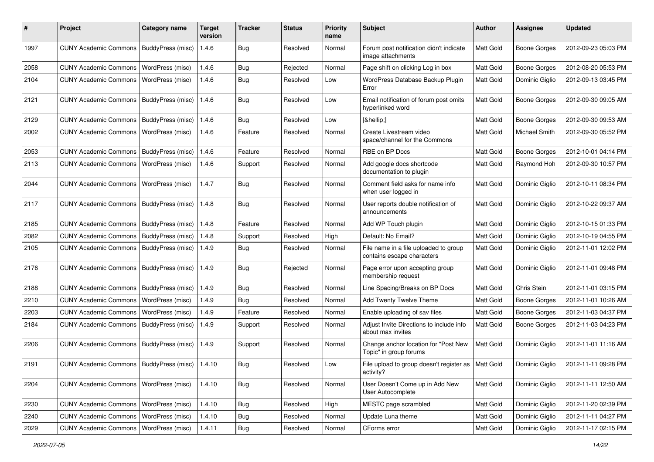| #    | Project                                  | <b>Category name</b>     | <b>Target</b><br>version | <b>Tracker</b> | <b>Status</b> | <b>Priority</b><br>name | Subject                                                             | <b>Author</b>    | <b>Assignee</b>     | <b>Updated</b>      |
|------|------------------------------------------|--------------------------|--------------------------|----------------|---------------|-------------------------|---------------------------------------------------------------------|------------------|---------------------|---------------------|
| 1997 | <b>CUNY Academic Commons</b>             | BuddyPress (misc)        | 1.4.6                    | <b>Bug</b>     | Resolved      | Normal                  | Forum post notification didn't indicate<br>image attachments        | Matt Gold        | <b>Boone Gorges</b> | 2012-09-23 05:03 PM |
| 2058 | <b>CUNY Academic Commons</b>             | <b>WordPress (misc)</b>  | 1.4.6                    | Bug            | Rejected      | Normal                  | Page shift on clicking Log in box                                   | Matt Gold        | <b>Boone Gorges</b> | 2012-08-20 05:53 PM |
| 2104 | <b>CUNY Academic Commons</b>             | <b>WordPress (misc)</b>  | 1.4.6                    | Bug            | Resolved      | Low                     | WordPress Database Backup Plugin<br>Error                           | Matt Gold        | Dominic Giglio      | 2012-09-13 03:45 PM |
| 2121 | <b>CUNY Academic Commons</b>             | BuddyPress (misc)        | 1.4.6                    | Bug            | Resolved      | Low                     | Email notification of forum post omits<br>hyperlinked word          | Matt Gold        | <b>Boone Gorges</b> | 2012-09-30 09:05 AM |
| 2129 | <b>CUNY Academic Commons</b>             | BuddyPress (misc)        | 1.4.6                    | Bug            | Resolved      | Low                     | […]                                                                 | Matt Gold        | Boone Gorges        | 2012-09-30 09:53 AM |
| 2002 | <b>CUNY Academic Commons</b>             | WordPress (misc)         | 1.4.6                    | Feature        | Resolved      | Normal                  | Create Livestream video<br>space/channel for the Commons            | Matt Gold        | Michael Smith       | 2012-09-30 05:52 PM |
| 2053 | <b>CUNY Academic Commons</b>             | BuddyPress (misc)        | 1.4.6                    | Feature        | Resolved      | Normal                  | RBE on BP Docs                                                      | Matt Gold        | Boone Gorges        | 2012-10-01 04:14 PM |
| 2113 | <b>CUNY Academic Commons</b>             | WordPress (misc)         | 1.4.6                    | Support        | Resolved      | Normal                  | Add google docs shortcode<br>documentation to plugin                | <b>Matt Gold</b> | Raymond Hoh         | 2012-09-30 10:57 PM |
| 2044 | <b>CUNY Academic Commons</b>             | WordPress (misc)         | 1.4.7                    | <b>Bug</b>     | Resolved      | Normal                  | Comment field asks for name info<br>when user logged in             | Matt Gold        | Dominic Giglio      | 2012-10-11 08:34 PM |
| 2117 | <b>CUNY Academic Commons</b>             | BuddyPress (misc)        | 1.4.8                    | <b>Bug</b>     | Resolved      | Normal                  | User reports double notification of<br>announcements                | <b>Matt Gold</b> | Dominic Giglio      | 2012-10-22 09:37 AM |
| 2185 | <b>CUNY Academic Commons</b>             | <b>BuddyPress (misc)</b> | 1.4.8                    | Feature        | Resolved      | Normal                  | Add WP Touch plugin                                                 | Matt Gold        | Dominic Giglio      | 2012-10-15 01:33 PM |
| 2082 | <b>CUNY Academic Commons</b>             | BuddyPress (misc)        | 1.4.8                    | Support        | Resolved      | High                    | Default: No Email?                                                  | Matt Gold        | Dominic Giglio      | 2012-10-19 04:55 PM |
| 2105 | <b>CUNY Academic Commons</b>             | BuddyPress (misc)        | 1.4.9                    | Bug            | Resolved      | Normal                  | File name in a file uploaded to group<br>contains escape characters | <b>Matt Gold</b> | Dominic Giglio      | 2012-11-01 12:02 PM |
| 2176 | <b>CUNY Academic Commons</b>             | BuddyPress (misc)        | 1.4.9                    | Bug            | Rejected      | Normal                  | Page error upon accepting group<br>membership request               | Matt Gold        | Dominic Giglio      | 2012-11-01 09:48 PM |
| 2188 | <b>CUNY Academic Commons</b>             | BuddyPress (misc)        | 1.4.9                    | Bug            | Resolved      | Normal                  | Line Spacing/Breaks on BP Docs                                      | Matt Gold        | Chris Stein         | 2012-11-01 03:15 PM |
| 2210 | <b>CUNY Academic Commons</b>             | <b>WordPress (misc)</b>  | 1.4.9                    | <b>Bug</b>     | Resolved      | Normal                  | Add Twenty Twelve Theme                                             | Matt Gold        | <b>Boone Gorges</b> | 2012-11-01 10:26 AM |
| 2203 | <b>CUNY Academic Commons</b>             | WordPress (misc)         | 1.4.9                    | Feature        | Resolved      | Normal                  | Enable uploading of sav files                                       | Matt Gold        | <b>Boone Gorges</b> | 2012-11-03 04:37 PM |
| 2184 | <b>CUNY Academic Commons</b>             | BuddyPress (misc)        | 1.4.9                    | Support        | Resolved      | Normal                  | Adjust Invite Directions to include info<br>about max invites       | Matt Gold        | Boone Gorges        | 2012-11-03 04:23 PM |
| 2206 | <b>CUNY Academic Commons</b>             | BuddyPress (misc)        | 1.4.9                    | Support        | Resolved      | Normal                  | Change anchor location for "Post New<br>Topic" in group forums      | Matt Gold        | Dominic Giglio      | 2012-11-01 11:16 AM |
| 2191 | <b>CUNY Academic Commons</b>             | BuddyPress (misc)        | 1.4.10                   | <b>Bug</b>     | Resolved      | Low                     | File upload to group doesn't register as   Matt Gold<br>activity?   |                  | Dominic Giglio      | 2012-11-11 09:28 PM |
| 2204 | <b>CUNY Academic Commons</b>             | WordPress (misc)         | 1.4.10                   | <b>Bug</b>     | Resolved      | Normal                  | User Doesn't Come up in Add New<br>User Autocomplete                | Matt Gold        | Dominic Giglio      | 2012-11-11 12:50 AM |
| 2230 | <b>CUNY Academic Commons</b>             | WordPress (misc)         | 1.4.10                   | <b>Bug</b>     | Resolved      | High                    | MESTC page scrambled                                                | Matt Gold        | Dominic Giglio      | 2012-11-20 02:39 PM |
| 2240 | CUNY Academic Commons   WordPress (misc) |                          | 1.4.10                   | <b>Bug</b>     | Resolved      | Normal                  | Update Luna theme                                                   | Matt Gold        | Dominic Giglio      | 2012-11-11 04:27 PM |
| 2029 | <b>CUNY Academic Commons</b>             | WordPress (misc)         | 1.4.11                   | Bug            | Resolved      | Normal                  | CForms error                                                        | Matt Gold        | Dominic Giglio      | 2012-11-17 02:15 PM |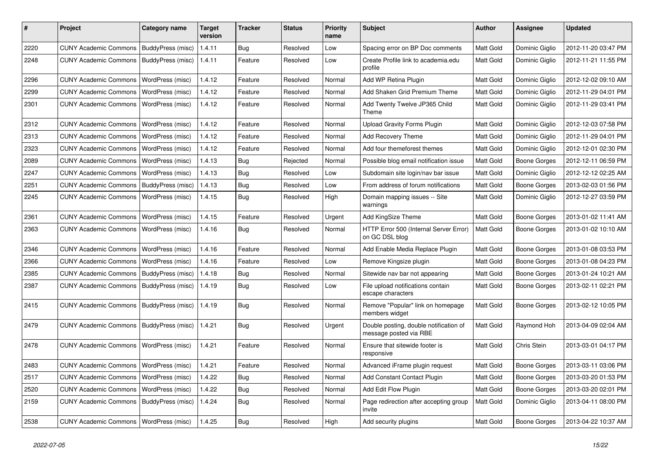| #    | Project                                  | <b>Category name</b>     | <b>Target</b><br>version | <b>Tracker</b> | <b>Status</b> | <b>Priority</b><br>name | Subject                                                          | Author    | <b>Assignee</b>     | <b>Updated</b>      |
|------|------------------------------------------|--------------------------|--------------------------|----------------|---------------|-------------------------|------------------------------------------------------------------|-----------|---------------------|---------------------|
| 2220 | <b>CUNY Academic Commons</b>             | BuddyPress (misc)        | 1.4.11                   | <b>Bug</b>     | Resolved      | Low                     | Spacing error on BP Doc comments                                 | Matt Gold | Dominic Giglio      | 2012-11-20 03:47 PM |
| 2248 | <b>CUNY Academic Commons</b>             | BuddyPress (misc)        | 1.4.11                   | Feature        | Resolved      | Low                     | Create Profile link to academia.edu<br>profile                   | Matt Gold | Dominic Giglio      | 2012-11-21 11:55 PM |
| 2296 | <b>CUNY Academic Commons</b>             | WordPress (misc)         | 1.4.12                   | Feature        | Resolved      | Normal                  | Add WP Retina Plugin                                             | Matt Gold | Dominic Giglio      | 2012-12-02 09:10 AM |
| 2299 | <b>CUNY Academic Commons</b>             | WordPress (misc)         | 1.4.12                   | Feature        | Resolved      | Normal                  | Add Shaken Grid Premium Theme                                    | Matt Gold | Dominic Giglio      | 2012-11-29 04:01 PM |
| 2301 | <b>CUNY Academic Commons</b>             | WordPress (misc)         | 1.4.12                   | Feature        | Resolved      | Normal                  | Add Twenty Twelve JP365 Child<br>Theme                           | Matt Gold | Dominic Giglio      | 2012-11-29 03:41 PM |
| 2312 | <b>CUNY Academic Commons</b>             | WordPress (misc)         | 1.4.12                   | Feature        | Resolved      | Normal                  | <b>Upload Gravity Forms Plugin</b>                               | Matt Gold | Dominic Giglio      | 2012-12-03 07:58 PM |
| 2313 | <b>CUNY Academic Commons</b>             | WordPress (misc)         | 1.4.12                   | Feature        | Resolved      | Normal                  | Add Recovery Theme                                               | Matt Gold | Dominic Giglio      | 2012-11-29 04:01 PM |
| 2323 | <b>CUNY Academic Commons</b>             | WordPress (misc)         | 1.4.12                   | Feature        | Resolved      | Normal                  | Add four themeforest themes                                      | Matt Gold | Dominic Giglio      | 2012-12-01 02:30 PM |
| 2089 | <b>CUNY Academic Commons</b>             | WordPress (misc)         | 1.4.13                   | Bug            | Rejected      | Normal                  | Possible blog email notification issue                           | Matt Gold | <b>Boone Gorges</b> | 2012-12-11 06:59 PM |
| 2247 | <b>CUNY Academic Commons</b>             | WordPress (misc)         | 1.4.13                   | Bug            | Resolved      | Low                     | Subdomain site login/nav bar issue                               | Matt Gold | Dominic Giglio      | 2012-12-12 02:25 AM |
| 2251 | <b>CUNY Academic Commons</b>             | BuddyPress (misc)        | 1.4.13                   | Bug            | Resolved      | Low                     | From address of forum notifications                              | Matt Gold | Boone Gorges        | 2013-02-03 01:56 PM |
| 2245 | <b>CUNY Academic Commons</b>             | WordPress (misc)         | 1.4.15                   | Bug            | Resolved      | High                    | Domain mapping issues -- Site<br>warnings                        | Matt Gold | Dominic Giglio      | 2012-12-27 03:59 PM |
| 2361 | <b>CUNY Academic Commons</b>             | WordPress (misc)         | 1.4.15                   | Feature        | Resolved      | Urgent                  | Add KingSize Theme                                               | Matt Gold | <b>Boone Gorges</b> | 2013-01-02 11:41 AM |
| 2363 | <b>CUNY Academic Commons</b>             | WordPress (misc)         | 1.4.16                   | <b>Bug</b>     | Resolved      | Normal                  | HTTP Error 500 (Internal Server Error)<br>on GC DSL blog         | Matt Gold | <b>Boone Gorges</b> | 2013-01-02 10:10 AM |
| 2346 | <b>CUNY Academic Commons</b>             | <b>WordPress (misc)</b>  | 1.4.16                   | Feature        | Resolved      | Normal                  | Add Enable Media Replace Plugin                                  | Matt Gold | <b>Boone Gorges</b> | 2013-01-08 03:53 PM |
| 2366 | <b>CUNY Academic Commons</b>             | WordPress (misc)         | 1.4.16                   | Feature        | Resolved      | Low                     | Remove Kingsize plugin                                           | Matt Gold | <b>Boone Gorges</b> | 2013-01-08 04:23 PM |
| 2385 | <b>CUNY Academic Commons</b>             | BuddyPress (misc)        | 1.4.18                   | <b>Bug</b>     | Resolved      | Normal                  | Sitewide nav bar not appearing                                   | Matt Gold | Boone Gorges        | 2013-01-24 10:21 AM |
| 2387 | <b>CUNY Academic Commons</b>             | BuddyPress (misc)        | 1.4.19                   | Bug            | Resolved      | Low                     | File upload notifications contain<br>escape characters           | Matt Gold | <b>Boone Gorges</b> | 2013-02-11 02:21 PM |
| 2415 | <b>CUNY Academic Commons</b>             | <b>BuddyPress (misc)</b> | 1.4.19                   | Bug            | Resolved      | Normal                  | Remove "Popular" link on homepage<br>members widget              | Matt Gold | Boone Gorges        | 2013-02-12 10:05 PM |
| 2479 | <b>CUNY Academic Commons</b>             | BuddyPress (misc)        | 1.4.21                   | <b>Bug</b>     | Resolved      | Urgent                  | Double posting, double notification of<br>message posted via RBE | Matt Gold | Raymond Hoh         | 2013-04-09 02:04 AM |
| 2478 | <b>CUNY Academic Commons</b>             | <b>WordPress (misc)</b>  | 1.4.21                   | Feature        | Resolved      | Normal                  | Ensure that sitewide footer is<br>responsive                     | Matt Gold | Chris Stein         | 2013-03-01 04:17 PM |
| 2483 | CUNY Academic Commons   WordPress (misc) |                          | 1.4.21                   | Feature        | Resolved      | Normal                  | Advanced iFrame plugin request                                   | Matt Gold | <b>Boone Gorges</b> | 2013-03-11 03:06 PM |
| 2517 | CUNY Academic Commons   WordPress (misc) |                          | 1.4.22                   | Bug            | Resolved      | Normal                  | Add Constant Contact Plugin                                      | Matt Gold | <b>Boone Gorges</b> | 2013-03-20 01:53 PM |
| 2520 | <b>CUNY Academic Commons</b>             | <b>WordPress (misc)</b>  | 1.4.22                   | Bug            | Resolved      | Normal                  | Add Edit Flow Plugin                                             | Matt Gold | Boone Gorges        | 2013-03-20 02:01 PM |
| 2159 | <b>CUNY Academic Commons</b>             | BuddyPress (misc)        | 1.4.24                   | <b>Bug</b>     | Resolved      | Normal                  | Page redirection after accepting group<br>invite                 | Matt Gold | Dominic Giglio      | 2013-04-11 08:00 PM |
| 2538 | <b>CUNY Academic Commons</b>             | WordPress (misc)         | 1.4.25                   | Bug            | Resolved      | High                    | Add security plugins                                             | Matt Gold | <b>Boone Gorges</b> | 2013-04-22 10:37 AM |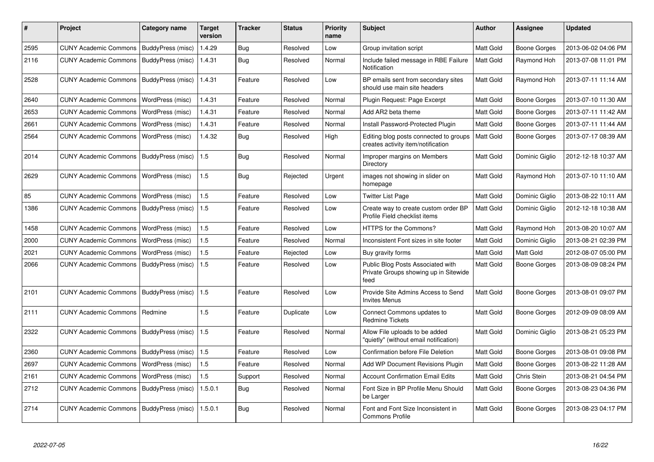| #    | <b>Project</b>               | Category name     | Target<br>version | <b>Tracker</b> | <b>Status</b> | <b>Priority</b><br>name | <b>Subject</b>                                                                     | Author           | Assignee       | <b>Updated</b>      |
|------|------------------------------|-------------------|-------------------|----------------|---------------|-------------------------|------------------------------------------------------------------------------------|------------------|----------------|---------------------|
| 2595 | <b>CUNY Academic Commons</b> | BuddyPress (misc) | 1.4.29            | Bug            | Resolved      | Low                     | Group invitation script                                                            | Matt Gold        | Boone Gorges   | 2013-06-02 04:06 PM |
| 2116 | <b>CUNY Academic Commons</b> | BuddyPress (misc) | 1.4.31            | Bug            | Resolved      | Normal                  | Include failed message in RBE Failure<br>Notification                              | Matt Gold        | Raymond Hoh    | 2013-07-08 11:01 PM |
| 2528 | <b>CUNY Academic Commons</b> | BuddyPress (misc) | 1.4.31            | Feature        | Resolved      | Low                     | BP emails sent from secondary sites<br>should use main site headers                | Matt Gold        | Raymond Hoh    | 2013-07-11 11:14 AM |
| 2640 | <b>CUNY Academic Commons</b> | WordPress (misc)  | 1.4.31            | Feature        | Resolved      | Normal                  | Plugin Request: Page Excerpt                                                       | Matt Gold        | Boone Gorges   | 2013-07-10 11:30 AM |
| 2653 | <b>CUNY Academic Commons</b> | WordPress (misc)  | 1.4.31            | Feature        | Resolved      | Normal                  | Add AR2 beta theme                                                                 | Matt Gold        | Boone Gorges   | 2013-07-11 11:42 AM |
| 2661 | <b>CUNY Academic Commons</b> | WordPress (misc)  | 1.4.31            | Feature        | Resolved      | Normal                  | Install Password-Protected Plugin                                                  | Matt Gold        | Boone Gorges   | 2013-07-11 11:44 AM |
| 2564 | <b>CUNY Academic Commons</b> | WordPress (misc)  | 1.4.32            | Bug            | Resolved      | High                    | Editing blog posts connected to groups<br>creates activity item/notification       | Matt Gold        | Boone Gorges   | 2013-07-17 08:39 AM |
| 2014 | <b>CUNY Academic Commons</b> | BuddyPress (misc) | 1.5               | Bug            | Resolved      | Normal                  | Improper margins on Members<br>Directory                                           | Matt Gold        | Dominic Giglio | 2012-12-18 10:37 AM |
| 2629 | <b>CUNY Academic Commons</b> | WordPress (misc)  | 1.5               | Bug            | Rejected      | Urgent                  | images not showing in slider on<br>homepage                                        | <b>Matt Gold</b> | Raymond Hoh    | 2013-07-10 11:10 AM |
| 85   | <b>CUNY Academic Commons</b> | WordPress (misc)  | 1.5               | Feature        | Resolved      | Low                     | <b>Twitter List Page</b>                                                           | Matt Gold        | Dominic Giglio | 2013-08-22 10:11 AM |
| 1386 | <b>CUNY Academic Commons</b> | BuddyPress (misc) | 1.5               | Feature        | Resolved      | Low                     | Create way to create custom order BP<br>Profile Field checklist items              | Matt Gold        | Dominic Giglio | 2012-12-18 10:38 AM |
| 1458 | <b>CUNY Academic Commons</b> | WordPress (misc)  | 1.5               | Feature        | Resolved      | Low                     | <b>HTTPS for the Commons?</b>                                                      | Matt Gold        | Raymond Hoh    | 2013-08-20 10:07 AM |
| 2000 | <b>CUNY Academic Commons</b> | WordPress (misc)  | 1.5               | Feature        | Resolved      | Normal                  | Inconsistent Font sizes in site footer                                             | Matt Gold        | Dominic Giglio | 2013-08-21 02:39 PM |
| 2021 | <b>CUNY Academic Commons</b> | WordPress (misc)  | 1.5               | Feature        | Rejected      | Low                     | Buy gravity forms                                                                  | Matt Gold        | Matt Gold      | 2012-08-07 05:00 PM |
| 2066 | <b>CUNY Academic Commons</b> | BuddyPress (misc) | 1.5               | Feature        | Resolved      | Low                     | Public Blog Posts Associated with<br>Private Groups showing up in Sitewide<br>feed | Matt Gold        | Boone Gorges   | 2013-08-09 08:24 PM |
| 2101 | CUNY Academic Commons        | BuddyPress (misc) | 1.5               | Feature        | Resolved      | Low                     | Provide Site Admins Access to Send<br><b>Invites Menus</b>                         | Matt Gold        | Boone Gorges   | 2013-08-01 09:07 PM |
| 2111 | <b>CUNY Academic Commons</b> | Redmine           | 1.5               | Feature        | Duplicate     | Low                     | Connect Commons updates to<br><b>Redmine Tickets</b>                               | Matt Gold        | Boone Gorges   | 2012-09-09 08:09 AM |
| 2322 | <b>CUNY Academic Commons</b> | BuddyPress (misc) | 1.5               | Feature        | Resolved      | Normal                  | Allow File uploads to be added<br>"quietly" (without email notification)           | Matt Gold        | Dominic Giglio | 2013-08-21 05:23 PM |
| 2360 | <b>CUNY Academic Commons</b> | BuddyPress (misc) | 1.5               | Feature        | Resolved      | Low                     | <b>Confirmation before File Deletion</b>                                           | <b>Matt Gold</b> | Boone Gorges   | 2013-08-01 09:08 PM |
| 2697 | <b>CUNY Academic Commons</b> | WordPress (misc)  | 1.5               | Feature        | Resolved      | Normal                  | Add WP Document Revisions Plugin                                                   | Matt Gold        | Boone Gorges   | 2013-08-22 11:28 AM |
| 2161 | <b>CUNY Academic Commons</b> | WordPress (misc)  | 1.5               | Support        | Resolved      | Normal                  | <b>Account Confirmation Email Edits</b>                                            | Matt Gold        | Chris Stein    | 2013-08-21 04:54 PM |
| 2712 | <b>CUNY Academic Commons</b> | BuddyPress (misc) | 1.5.0.1           | <b>Bug</b>     | Resolved      | Normal                  | Font Size in BP Profile Menu Should<br>be Larger                                   | Matt Gold        | Boone Gorges   | 2013-08-23 04:36 PM |
| 2714 | <b>CUNY Academic Commons</b> | BuddyPress (misc) | 1.5.0.1           | <b>Bug</b>     | Resolved      | Normal                  | Font and Font Size Inconsistent in<br><b>Commons Profile</b>                       | Matt Gold        | Boone Gorges   | 2013-08-23 04:17 PM |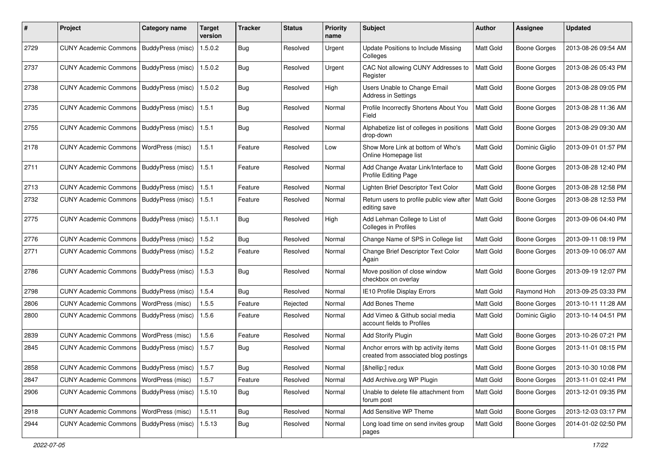| #    | Project                                           | <b>Category name</b>     | <b>Target</b><br>version | <b>Tracker</b> | <b>Status</b> | <b>Priority</b><br>name | <b>Subject</b>                                                                | <b>Author</b> | <b>Assignee</b>     | <b>Updated</b>      |
|------|---------------------------------------------------|--------------------------|--------------------------|----------------|---------------|-------------------------|-------------------------------------------------------------------------------|---------------|---------------------|---------------------|
| 2729 | <b>CUNY Academic Commons</b>                      | BuddyPress (misc)        | 1.5.0.2                  | <b>Bug</b>     | Resolved      | Urgent                  | Update Positions to Include Missing<br>Colleges                               | Matt Gold     | <b>Boone Gorges</b> | 2013-08-26 09:54 AM |
| 2737 | <b>CUNY Academic Commons</b>                      | <b>BuddyPress (misc)</b> | 1.5.0.2                  | Bug            | Resolved      | Urgent                  | CAC Not allowing CUNY Addresses to<br>Register                                | Matt Gold     | <b>Boone Gorges</b> | 2013-08-26 05:43 PM |
| 2738 | <b>CUNY Academic Commons</b>                      | BuddyPress (misc)        | 1.5.0.2                  | Bug            | Resolved      | High                    | Users Unable to Change Email<br>Address in Settings                           | Matt Gold     | <b>Boone Gorges</b> | 2013-08-28 09:05 PM |
| 2735 | <b>CUNY Academic Commons</b>                      | BuddyPress (misc)        | 1.5.1                    | Bug            | Resolved      | Normal                  | Profile Incorrectly Shortens About You<br>Field                               | Matt Gold     | <b>Boone Gorges</b> | 2013-08-28 11:36 AM |
| 2755 | <b>CUNY Academic Commons</b>                      | BuddyPress (misc)        | 1.5.1                    | Bug            | Resolved      | Normal                  | Alphabetize list of colleges in positions<br>drop-down                        | Matt Gold     | <b>Boone Gorges</b> | 2013-08-29 09:30 AM |
| 2178 | <b>CUNY Academic Commons</b>                      | WordPress (misc)         | 1.5.1                    | Feature        | Resolved      | Low                     | Show More Link at bottom of Who's<br>Online Homepage list                     | Matt Gold     | Dominic Giglio      | 2013-09-01 01:57 PM |
| 2711 | <b>CUNY Academic Commons</b>                      | BuddyPress (misc)        | 1.5.1                    | Feature        | Resolved      | Normal                  | Add Change Avatar Link/Interface to<br>Profile Editing Page                   | Matt Gold     | <b>Boone Gorges</b> | 2013-08-28 12:40 PM |
| 2713 | <b>CUNY Academic Commons</b>                      | BuddyPress (misc)        | 1.5.1                    | Feature        | Resolved      | Normal                  | Lighten Brief Descriptor Text Color                                           | Matt Gold     | <b>Boone Gorges</b> | 2013-08-28 12:58 PM |
| 2732 | <b>CUNY Academic Commons</b>                      | BuddyPress (misc)        | 1.5.1                    | Feature        | Resolved      | Normal                  | Return users to profile public view after<br>editing save                     | Matt Gold     | <b>Boone Gorges</b> | 2013-08-28 12:53 PM |
| 2775 | <b>CUNY Academic Commons</b>                      | BuddyPress (misc)        | 1.5.1.1                  | Bug            | Resolved      | High                    | Add Lehman College to List of<br>Colleges in Profiles                         | Matt Gold     | <b>Boone Gorges</b> | 2013-09-06 04:40 PM |
| 2776 | <b>CUNY Academic Commons</b>                      | BuddyPress (misc)        | 1.5.2                    | Bug            | Resolved      | Normal                  | Change Name of SPS in College list                                            | Matt Gold     | <b>Boone Gorges</b> | 2013-09-11 08:19 PM |
| 2771 | <b>CUNY Academic Commons</b>                      | BuddyPress (misc)        | 1.5.2                    | Feature        | Resolved      | Normal                  | Change Brief Descriptor Text Color<br>Again                                   | Matt Gold     | <b>Boone Gorges</b> | 2013-09-10 06:07 AM |
| 2786 | <b>CUNY Academic Commons</b>                      | <b>BuddyPress (misc)</b> | 1.5.3                    | Bug            | Resolved      | Normal                  | Move position of close window<br>checkbox on overlay                          | Matt Gold     | <b>Boone Gorges</b> | 2013-09-19 12:07 PM |
| 2798 | <b>CUNY Academic Commons</b>                      | BuddyPress (misc)        | 1.5.4                    | Bug            | Resolved      | Normal                  | <b>IE10 Profile Display Errors</b>                                            | Matt Gold     | Raymond Hoh         | 2013-09-25 03:33 PM |
| 2806 | <b>CUNY Academic Commons</b>                      | WordPress (misc)         | 1.5.5                    | Feature        | Rejected      | Normal                  | Add Bones Theme                                                               | Matt Gold     | <b>Boone Gorges</b> | 2013-10-11 11:28 AM |
| 2800 | <b>CUNY Academic Commons</b>                      | BuddyPress (misc)        | 1.5.6                    | Feature        | Resolved      | Normal                  | Add Vimeo & Github social media<br>account fields to Profiles                 | Matt Gold     | Dominic Giglio      | 2013-10-14 04:51 PM |
| 2839 | <b>CUNY Academic Commons</b>                      | WordPress (misc)         | 1.5.6                    | Feature        | Resolved      | Normal                  | <b>Add Storify Plugin</b>                                                     | Matt Gold     | <b>Boone Gorges</b> | 2013-10-26 07:21 PM |
| 2845 | <b>CUNY Academic Commons</b>                      | BuddyPress (misc)        | 1.5.7                    | Bug            | Resolved      | Normal                  | Anchor errors with bp activity items<br>created from associated blog postings | Matt Gold     | <b>Boone Gorges</b> | 2013-11-01 08:15 PM |
| 2858 | CUNY Academic Commons   BuddyPress (misc)   1.5.7 |                          |                          | Bug            | Resolved      | Normal                  | […] redux                                                                     | Matt Gold     | Boone Gorges        | 2013-10-30 10:08 PM |
| 2847 | CUNY Academic Commons   WordPress (misc)          |                          | 1.5.7                    | Feature        | Resolved      | Normal                  | Add Archive.org WP Plugin                                                     | Matt Gold     | <b>Boone Gorges</b> | 2013-11-01 02:41 PM |
| 2906 | CUNY Academic Commons   BuddyPress (misc)         |                          | 1.5.10                   | <b>Bug</b>     | Resolved      | Normal                  | Unable to delete file attachment from<br>forum post                           | Matt Gold     | Boone Gorges        | 2013-12-01 09:35 PM |
| 2918 | <b>CUNY Academic Commons</b>                      | WordPress (misc)         | 1.5.11                   | Bug            | Resolved      | Normal                  | Add Sensitive WP Theme                                                        | Matt Gold     | Boone Gorges        | 2013-12-03 03:17 PM |
| 2944 | <b>CUNY Academic Commons</b>                      | BuddyPress (misc)        | 1.5.13                   | <b>Bug</b>     | Resolved      | Normal                  | Long load time on send invites group<br>pages                                 | Matt Gold     | <b>Boone Gorges</b> | 2014-01-02 02:50 PM |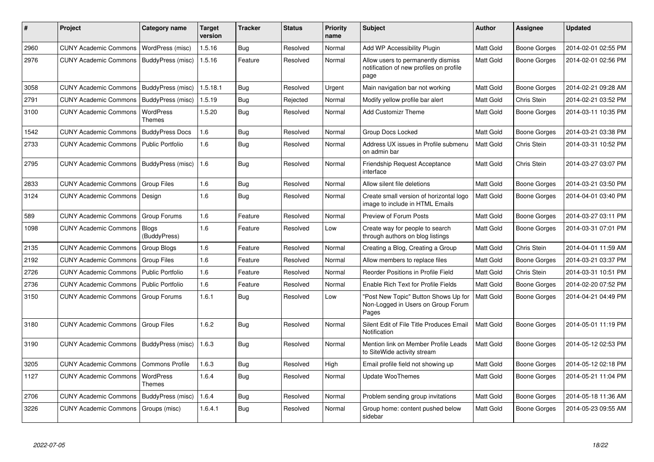| #    | <b>Project</b>               | Category name                     | <b>Target</b><br>version | <b>Tracker</b> | <b>Status</b> | <b>Priority</b><br>name | <b>Subject</b>                                                                        | <b>Author</b>    | Assignee            | <b>Updated</b>      |
|------|------------------------------|-----------------------------------|--------------------------|----------------|---------------|-------------------------|---------------------------------------------------------------------------------------|------------------|---------------------|---------------------|
| 2960 | <b>CUNY Academic Commons</b> | WordPress (misc)                  | 1.5.16                   | Bug            | Resolved      | Normal                  | Add WP Accessibility Plugin                                                           | Matt Gold        | <b>Boone Gorges</b> | 2014-02-01 02:55 PM |
| 2976 | <b>CUNY Academic Commons</b> | BuddyPress (misc)                 | 1.5.16                   | Feature        | Resolved      | Normal                  | Allow users to permanently dismiss<br>notification of new profiles on profile<br>page | Matt Gold        | Boone Gorges        | 2014-02-01 02:56 PM |
| 3058 | <b>CUNY Academic Commons</b> | BuddyPress (misc)                 | 1.5.18.1                 | Bug            | Resolved      | Urgent                  | Main navigation bar not working                                                       | Matt Gold        | <b>Boone Gorges</b> | 2014-02-21 09:28 AM |
| 2791 | <b>CUNY Academic Commons</b> | BuddyPress (misc)                 | 1.5.19                   | <b>Bug</b>     | Rejected      | Normal                  | Modify yellow profile bar alert                                                       | Matt Gold        | Chris Stein         | 2014-02-21 03:52 PM |
| 3100 | <b>CUNY Academic Commons</b> | WordPress<br><b>Themes</b>        | 1.5.20                   | Bug            | Resolved      | Normal                  | <b>Add Customizr Theme</b>                                                            | Matt Gold        | Boone Gorges        | 2014-03-11 10:35 PM |
| 1542 | <b>CUNY Academic Commons</b> | <b>BuddyPress Docs</b>            | 1.6                      | Bug            | Resolved      | Normal                  | Group Docs Locked                                                                     | Matt Gold        | Boone Gorges        | 2014-03-21 03:38 PM |
| 2733 | <b>CUNY Academic Commons</b> | <b>Public Portfolio</b>           | 1.6                      | <b>Bug</b>     | Resolved      | Normal                  | Address UX issues in Profile submenu<br>on admin bar                                  | <b>Matt Gold</b> | Chris Stein         | 2014-03-31 10:52 PM |
| 2795 | <b>CUNY Academic Commons</b> | BuddyPress (misc)                 | 1.6                      | <b>Bug</b>     | Resolved      | Normal                  | Friendship Request Acceptance<br>interface                                            | <b>Matt Gold</b> | Chris Stein         | 2014-03-27 03:07 PM |
| 2833 | <b>CUNY Academic Commons</b> | Group Files                       | 1.6                      | <b>Bug</b>     | Resolved      | Normal                  | Allow silent file deletions                                                           | Matt Gold        | Boone Gorges        | 2014-03-21 03:50 PM |
| 3124 | <b>CUNY Academic Commons</b> | Design                            | 1.6                      | Bug            | Resolved      | Normal                  | Create small version of horizontal logo<br>image to include in HTML Emails            | Matt Gold        | <b>Boone Gorges</b> | 2014-04-01 03:40 PM |
| 589  | <b>CUNY Academic Commons</b> | Group Forums                      | 1.6                      | Feature        | Resolved      | Normal                  | Preview of Forum Posts                                                                | Matt Gold        | Boone Gorges        | 2014-03-27 03:11 PM |
| 1098 | <b>CUNY Academic Commons</b> | <b>Blogs</b><br>(BuddyPress)      | 1.6                      | Feature        | Resolved      | Low                     | Create way for people to search<br>through authors on blog listings                   | Matt Gold        | Boone Gorges        | 2014-03-31 07:01 PM |
| 2135 | <b>CUNY Academic Commons</b> | <b>Group Blogs</b>                | 1.6                      | Feature        | Resolved      | Normal                  | Creating a Blog, Creating a Group                                                     | Matt Gold        | Chris Stein         | 2014-04-01 11:59 AM |
| 2192 | <b>CUNY Academic Commons</b> | <b>Group Files</b>                | 1.6                      | Feature        | Resolved      | Normal                  | Allow members to replace files                                                        | Matt Gold        | Boone Gorges        | 2014-03-21 03:37 PM |
| 2726 | <b>CUNY Academic Commons</b> | <b>Public Portfolio</b>           | 1.6                      | Feature        | Resolved      | Normal                  | Reorder Positions in Profile Field                                                    | <b>Matt Gold</b> | Chris Stein         | 2014-03-31 10:51 PM |
| 2736 | <b>CUNY Academic Commons</b> | <b>Public Portfolio</b>           | 1.6                      | Feature        | Resolved      | Normal                  | Enable Rich Text for Profile Fields                                                   | Matt Gold        | <b>Boone Gorges</b> | 2014-02-20 07:52 PM |
| 3150 | <b>CUNY Academic Commons</b> | Group Forums                      | 1.6.1                    | <b>Bug</b>     | Resolved      | Low                     | "Post New Topic" Button Shows Up for<br>Non-Logged in Users on Group Forum<br>Pages   | Matt Gold        | Boone Gorges        | 2014-04-21 04:49 PM |
| 3180 | <b>CUNY Academic Commons</b> | <b>Group Files</b>                | 1.6.2                    | Bug            | Resolved      | Normal                  | Silent Edit of File Title Produces Email<br>Notification                              | Matt Gold        | <b>Boone Gorges</b> | 2014-05-01 11:19 PM |
| 3190 | <b>CUNY Academic Commons</b> | BuddyPress (misc)                 | 1.6.3                    | Bug            | Resolved      | Normal                  | Mention link on Member Profile Leads<br>to SiteWide activity stream                   | Matt Gold        | <b>Boone Gorges</b> | 2014-05-12 02:53 PM |
| 3205 | <b>CUNY Academic Commons</b> | <b>Commons Profile</b>            | 1.6.3                    | Bug            | Resolved      | High                    | Email profile field not showing up                                                    | Matt Gold        | Boone Gorges        | 2014-05-12 02:18 PM |
| 1127 | <b>CUNY Academic Commons</b> | <b>WordPress</b><br><b>Themes</b> | 1.6.4                    | Bug            | Resolved      | Normal                  | Update WooThemes                                                                      | Matt Gold        | Boone Gorges        | 2014-05-21 11:04 PM |
| 2706 | <b>CUNY Academic Commons</b> | BuddyPress (misc)                 | 1.6.4                    | Bug            | Resolved      | Normal                  | Problem sending group invitations                                                     | Matt Gold        | Boone Gorges        | 2014-05-18 11:36 AM |
| 3226 | <b>CUNY Academic Commons</b> | Groups (misc)                     | 1.6.4.1                  | <b>Bug</b>     | Resolved      | Normal                  | Group home: content pushed below<br>sidebar                                           | Matt Gold        | Boone Gorges        | 2014-05-23 09:55 AM |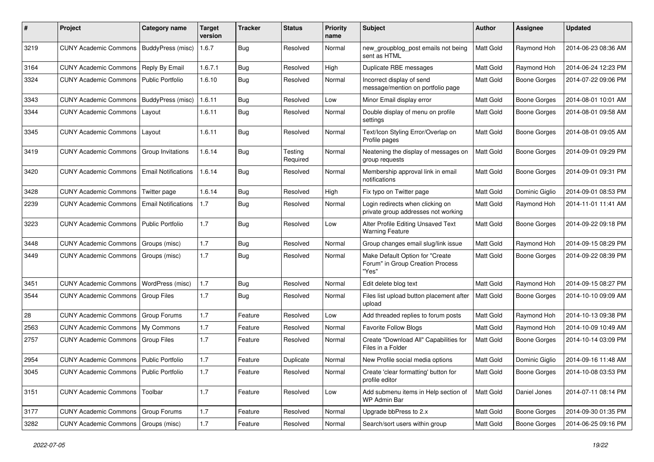| #    | Project                                  | <b>Category name</b>       | <b>Target</b><br>version | Tracker    | <b>Status</b>       | <b>Priority</b><br>name | <b>Subject</b>                                                               | Author           | Assignee            | <b>Updated</b>      |
|------|------------------------------------------|----------------------------|--------------------------|------------|---------------------|-------------------------|------------------------------------------------------------------------------|------------------|---------------------|---------------------|
| 3219 | <b>CUNY Academic Commons</b>             | BuddyPress (misc)          | 1.6.7                    | <b>Bug</b> | Resolved            | Normal                  | new_groupblog_post emails not being<br>sent as HTML                          | Matt Gold        | Raymond Hoh         | 2014-06-23 08:36 AM |
| 3164 | <b>CUNY Academic Commons</b>             | Reply By Email             | 1.6.7.1                  | Bug        | Resolved            | High                    | Duplicate RBE messages                                                       | Matt Gold        | Raymond Hoh         | 2014-06-24 12:23 PM |
| 3324 | <b>CUNY Academic Commons</b>             | <b>Public Portfolio</b>    | 1.6.10                   | Bug        | Resolved            | Normal                  | Incorrect display of send<br>message/mention on portfolio page               | Matt Gold        | <b>Boone Gorges</b> | 2014-07-22 09:06 PM |
| 3343 | <b>CUNY Academic Commons</b>             | BuddyPress (misc)          | 1.6.11                   | Bug        | Resolved            | Low                     | Minor Email display error                                                    | Matt Gold        | <b>Boone Gorges</b> | 2014-08-01 10:01 AM |
| 3344 | <b>CUNY Academic Commons</b>             | Layout                     | 1.6.11                   | Bug        | Resolved            | Normal                  | Double display of menu on profile<br>settings                                | Matt Gold        | <b>Boone Gorges</b> | 2014-08-01 09:58 AM |
| 3345 | <b>CUNY Academic Commons</b>             | Layout                     | 1.6.11                   | Bug        | Resolved            | Normal                  | Text/Icon Styling Error/Overlap on<br>Profile pages                          | Matt Gold        | <b>Boone Gorges</b> | 2014-08-01 09:05 AM |
| 3419 | <b>CUNY Academic Commons</b>             | Group Invitations          | 1.6.14                   | Bug        | Testing<br>Required | Normal                  | Neatening the display of messages on<br>group requests                       | Matt Gold        | <b>Boone Gorges</b> | 2014-09-01 09:29 PM |
| 3420 | <b>CUNY Academic Commons</b>             | <b>Email Notifications</b> | 1.6.14                   | Bug        | Resolved            | Normal                  | Membership approval link in email<br>notifications                           | <b>Matt Gold</b> | Boone Gorges        | 2014-09-01 09:31 PM |
| 3428 | <b>CUNY Academic Commons</b>             | Twitter page               | 1.6.14                   | Bug        | Resolved            | High                    | Fix typo on Twitter page                                                     | Matt Gold        | Dominic Giglio      | 2014-09-01 08:53 PM |
| 2239 | <b>CUNY Academic Commons</b>             | <b>Email Notifications</b> | 1.7                      | Bug        | Resolved            | Normal                  | Login redirects when clicking on<br>private group addresses not working      | <b>Matt Gold</b> | Raymond Hoh         | 2014-11-01 11:41 AM |
| 3223 | <b>CUNY Academic Commons</b>             | <b>Public Portfolio</b>    | 1.7                      | Bug        | Resolved            | Low                     | Alter Profile Editing Unsaved Text<br><b>Warning Feature</b>                 | <b>Matt Gold</b> | Boone Gorges        | 2014-09-22 09:18 PM |
| 3448 | <b>CUNY Academic Commons</b>             | Groups (misc)              | 1.7                      | Bug        | Resolved            | Normal                  | Group changes email slug/link issue                                          | Matt Gold        | Raymond Hoh         | 2014-09-15 08:29 PM |
| 3449 | <b>CUNY Academic Commons</b>             | Groups (misc)              | 1.7                      | Bug        | Resolved            | Normal                  | Make Default Option for "Create<br>Forum" in Group Creation Process<br>"Yes" | <b>Matt Gold</b> | Boone Gorges        | 2014-09-22 08:39 PM |
| 3451 | <b>CUNY Academic Commons</b>             | WordPress (misc)           | 1.7                      | Bug        | Resolved            | Normal                  | Edit delete blog text                                                        | Matt Gold        | Raymond Hoh         | 2014-09-15 08:27 PM |
| 3544 | <b>CUNY Academic Commons</b>             | Group Files                | 1.7                      | <b>Bug</b> | Resolved            | Normal                  | Files list upload button placement after<br>upload                           | Matt Gold        | Boone Gorges        | 2014-10-10 09:09 AM |
| 28   | <b>CUNY Academic Commons</b>             | Group Forums               | 1.7                      | Feature    | Resolved            | Low                     | Add threaded replies to forum posts                                          | Matt Gold        | Raymond Hoh         | 2014-10-13 09:38 PM |
| 2563 | <b>CUNY Academic Commons</b>             | My Commons                 | 1.7                      | Feature    | Resolved            | Normal                  | <b>Favorite Follow Blogs</b>                                                 | Matt Gold        | Raymond Hoh         | 2014-10-09 10:49 AM |
| 2757 | <b>CUNY Academic Commons</b>             | <b>Group Files</b>         | 1.7                      | Feature    | Resolved            | Normal                  | Create "Download All" Capabilities for<br>Files in a Folder                  | Matt Gold        | <b>Boone Gorges</b> | 2014-10-14 03:09 PM |
| 2954 | <b>CUNY Academic Commons</b>             | <b>Public Portfolio</b>    | 1.7                      | Feature    | Duplicate           | Normal                  | New Profile social media options                                             | <b>Matt Gold</b> | Dominic Giglio      | 2014-09-16 11:48 AM |
| 3045 | CUNY Academic Commons   Public Portfolio |                            | $1.7$                    | Feature    | Resolved            | Normal                  | Create 'clear formatting' button for<br>profile editor                       | Matt Gold        | Boone Gorges        | 2014-10-08 03:53 PM |
| 3151 | <b>CUNY Academic Commons</b>             | Toolbar                    | 1.7                      | Feature    | Resolved            | Low                     | Add submenu items in Help section of<br>WP Admin Bar                         | Matt Gold        | Daniel Jones        | 2014-07-11 08:14 PM |
| 3177 | CUNY Academic Commons   Group Forums     |                            | 1.7                      | Feature    | Resolved            | Normal                  | Upgrade bbPress to 2.x                                                       | Matt Gold        | <b>Boone Gorges</b> | 2014-09-30 01:35 PM |
| 3282 | <b>CUNY Academic Commons</b>             | Groups (misc)              | 1.7                      | Feature    | Resolved            | Normal                  | Search/sort users within group                                               | Matt Gold        | <b>Boone Gorges</b> | 2014-06-25 09:16 PM |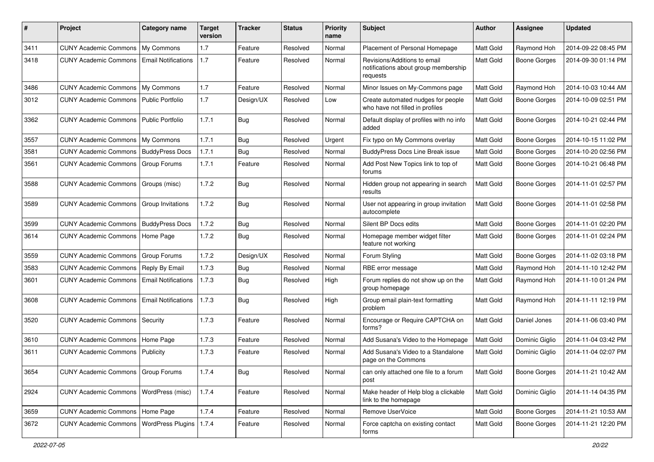| #    | Project                              | Category name              | <b>Target</b><br>version | Tracker    | <b>Status</b> | <b>Priority</b><br>name | Subject                                                                          | Author           | Assignee            | <b>Updated</b>      |
|------|--------------------------------------|----------------------------|--------------------------|------------|---------------|-------------------------|----------------------------------------------------------------------------------|------------------|---------------------|---------------------|
| 3411 | <b>CUNY Academic Commons</b>         | My Commons                 | 1.7                      | Feature    | Resolved      | Normal                  | Placement of Personal Homepage                                                   | Matt Gold        | Raymond Hoh         | 2014-09-22 08:45 PM |
| 3418 | <b>CUNY Academic Commons</b>         | <b>Email Notifications</b> | 1.7                      | Feature    | Resolved      | Normal                  | Revisions/Additions to email<br>notifications about group membership<br>requests | <b>Matt Gold</b> | <b>Boone Gorges</b> | 2014-09-30 01:14 PM |
| 3486 | <b>CUNY Academic Commons</b>         | My Commons                 | 1.7                      | Feature    | Resolved      | Normal                  | Minor Issues on My-Commons page                                                  | Matt Gold        | Raymond Hoh         | 2014-10-03 10:44 AM |
| 3012 | <b>CUNY Academic Commons</b>         | Public Portfolio           | 1.7                      | Design/UX  | Resolved      | Low                     | Create automated nudges for people<br>who have not filled in profiles            | Matt Gold        | <b>Boone Gorges</b> | 2014-10-09 02:51 PM |
| 3362 | <b>CUNY Academic Commons</b>         | <b>Public Portfolio</b>    | 1.7.1                    | Bug        | Resolved      | Normal                  | Default display of profiles with no info<br>added                                | Matt Gold        | <b>Boone Gorges</b> | 2014-10-21 02:44 PM |
| 3557 | <b>CUNY Academic Commons</b>         | My Commons                 | 1.7.1                    | Bug        | Resolved      | Urgent                  | Fix typo on My Commons overlay                                                   | Matt Gold        | Boone Gorges        | 2014-10-15 11:02 PM |
| 3581 | <b>CUNY Academic Commons</b>         | <b>BuddyPress Docs</b>     | 1.7.1                    | <b>Bug</b> | Resolved      | Normal                  | BuddyPress Docs Line Break issue                                                 | Matt Gold        | Boone Gorges        | 2014-10-20 02:56 PM |
| 3561 | <b>CUNY Academic Commons</b>         | Group Forums               | 1.7.1                    | Feature    | Resolved      | Normal                  | Add Post New Topics link to top of<br>forums                                     | <b>Matt Gold</b> | Boone Gorges        | 2014-10-21 06:48 PM |
| 3588 | <b>CUNY Academic Commons</b>         | Groups (misc)              | 1.7.2                    | Bug        | Resolved      | Normal                  | Hidden group not appearing in search<br>results                                  | Matt Gold        | Boone Gorges        | 2014-11-01 02:57 PM |
| 3589 | <b>CUNY Academic Commons</b>         | Group Invitations          | 1.7.2                    | <b>Bug</b> | Resolved      | Normal                  | User not appearing in group invitation<br>autocomplete                           | Matt Gold        | Boone Gorges        | 2014-11-01 02:58 PM |
| 3599 | <b>CUNY Academic Commons</b>         | <b>BuddyPress Docs</b>     | 1.7.2                    | Bug        | Resolved      | Normal                  | Silent BP Docs edits                                                             | <b>Matt Gold</b> | <b>Boone Gorges</b> | 2014-11-01 02:20 PM |
| 3614 | <b>CUNY Academic Commons</b>         | Home Page                  | 1.7.2                    | <b>Bug</b> | Resolved      | Normal                  | Homepage member widget filter<br>feature not working                             | Matt Gold        | Boone Gorges        | 2014-11-01 02:24 PM |
| 3559 | <b>CUNY Academic Commons</b>         | Group Forums               | 1.7.2                    | Design/UX  | Resolved      | Normal                  | Forum Styling                                                                    | Matt Gold        | <b>Boone Gorges</b> | 2014-11-02 03:18 PM |
| 3583 | <b>CUNY Academic Commons</b>         | Reply By Email             | 1.7.3                    | <b>Bug</b> | Resolved      | Normal                  | RBE error message                                                                | Matt Gold        | Raymond Hoh         | 2014-11-10 12:42 PM |
| 3601 | <b>CUNY Academic Commons</b>         | <b>Email Notifications</b> | 1.7.3                    | <b>Bug</b> | Resolved      | High                    | Forum replies do not show up on the<br>group homepage                            | Matt Gold        | Raymond Hoh         | 2014-11-10 01:24 PM |
| 3608 | <b>CUNY Academic Commons</b>         | <b>Email Notifications</b> | 1.7.3                    | Bug        | Resolved      | High                    | Group email plain-text formatting<br>problem                                     | Matt Gold        | Raymond Hoh         | 2014-11-11 12:19 PM |
| 3520 | <b>CUNY Academic Commons</b>         | Security                   | 1.7.3                    | Feature    | Resolved      | Normal                  | Encourage or Require CAPTCHA on<br>forms?                                        | Matt Gold        | Daniel Jones        | 2014-11-06 03:40 PM |
| 3610 | <b>CUNY Academic Commons</b>         | Home Page                  | 1.7.3                    | Feature    | Resolved      | Normal                  | Add Susana's Video to the Homepage                                               | Matt Gold        | Dominic Giglio      | 2014-11-04 03:42 PM |
| 3611 | <b>CUNY Academic Commons</b>         | Publicity                  | 1.7.3                    | Feature    | Resolved      | Normal                  | Add Susana's Video to a Standalone<br>page on the Commons                        | <b>Matt Gold</b> | Dominic Giglio      | 2014-11-04 02:07 PM |
| 3654 | CUNY Academic Commons   Group Forums |                            | 1.7.4                    | Bug        | Resolved      | Normal                  | can only attached one file to a forum<br>post                                    | Matt Gold        | Boone Gorges        | 2014-11-21 10:42 AM |
| 2924 | <b>CUNY Academic Commons</b>         | WordPress (misc)           | 1.7.4                    | Feature    | Resolved      | Normal                  | Make header of Help blog a clickable<br>link to the homepage                     | Matt Gold        | Dominic Giglio      | 2014-11-14 04:35 PM |
| 3659 | CUNY Academic Commons   Home Page    |                            | 1.7.4                    | Feature    | Resolved      | Normal                  | Remove UserVoice                                                                 | Matt Gold        | Boone Gorges        | 2014-11-21 10:53 AM |
| 3672 | <b>CUNY Academic Commons</b>         | <b>WordPress Plugins</b>   | 1.7.4                    | Feature    | Resolved      | Normal                  | Force captcha on existing contact<br>forms                                       | Matt Gold        | Boone Gorges        | 2014-11-21 12:20 PM |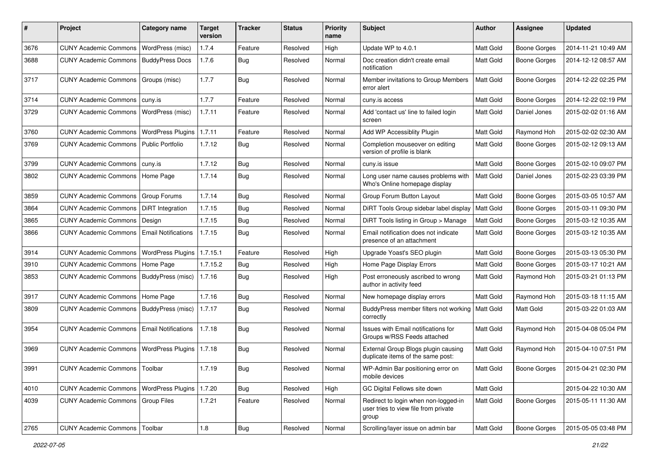| #    | Project                                   | <b>Category name</b>       | <b>Target</b><br>version | <b>Tracker</b> | <b>Status</b> | <b>Priority</b><br>name | <b>Subject</b>                                                                        | <b>Author</b> | <b>Assignee</b>     | <b>Updated</b>      |
|------|-------------------------------------------|----------------------------|--------------------------|----------------|---------------|-------------------------|---------------------------------------------------------------------------------------|---------------|---------------------|---------------------|
| 3676 | <b>CUNY Academic Commons</b>              | WordPress (misc)           | 1.7.4                    | Feature        | Resolved      | High                    | Update WP to 4.0.1                                                                    | Matt Gold     | <b>Boone Gorges</b> | 2014-11-21 10:49 AM |
| 3688 | <b>CUNY Academic Commons</b>              | <b>BuddyPress Docs</b>     | 1.7.6                    | Bug            | Resolved      | Normal                  | Doc creation didn't create email<br>notification                                      | Matt Gold     | <b>Boone Gorges</b> | 2014-12-12 08:57 AM |
| 3717 | <b>CUNY Academic Commons</b>              | Groups (misc)              | 1.7.7                    | <b>Bug</b>     | Resolved      | Normal                  | Member invitations to Group Members<br>error alert                                    | Matt Gold     | <b>Boone Gorges</b> | 2014-12-22 02:25 PM |
| 3714 | <b>CUNY Academic Commons</b>              | cuny.is                    | 1.7.7                    | Feature        | Resolved      | Normal                  | cuny.is access                                                                        | Matt Gold     | <b>Boone Gorges</b> | 2014-12-22 02:19 PM |
| 3729 | <b>CUNY Academic Commons</b>              | WordPress (misc)           | 1.7.11                   | Feature        | Resolved      | Normal                  | Add 'contact us' line to failed login<br>screen                                       | Matt Gold     | Daniel Jones        | 2015-02-02 01:16 AM |
| 3760 | <b>CUNY Academic Commons</b>              | <b>WordPress Plugins</b>   | 1.7.11                   | Feature        | Resolved      | Normal                  | Add WP Accessiblity Plugin                                                            | Matt Gold     | Raymond Hoh         | 2015-02-02 02:30 AM |
| 3769 | <b>CUNY Academic Commons</b>              | <b>Public Portfolio</b>    | 1.7.12                   | Bug            | Resolved      | Normal                  | Completion mouseover on editing<br>version of profile is blank                        | Matt Gold     | <b>Boone Gorges</b> | 2015-02-12 09:13 AM |
| 3799 | <b>CUNY Academic Commons</b>              | cuny.is                    | 1.7.12                   | Bug            | Resolved      | Normal                  | cuny.is issue                                                                         | Matt Gold     | <b>Boone Gorges</b> | 2015-02-10 09:07 PM |
| 3802 | <b>CUNY Academic Commons</b>              | Home Page                  | 1.7.14                   | <b>Bug</b>     | Resolved      | Normal                  | Long user name causes problems with<br>Who's Online homepage display                  | Matt Gold     | Daniel Jones        | 2015-02-23 03:39 PM |
| 3859 | <b>CUNY Academic Commons</b>              | Group Forums               | 1.7.14                   | Bug            | Resolved      | Normal                  | Group Forum Button Layout                                                             | Matt Gold     | <b>Boone Gorges</b> | 2015-03-05 10:57 AM |
| 3864 | <b>CUNY Academic Commons</b>              | <b>DiRT</b> Integration    | 1.7.15                   | <b>Bug</b>     | Resolved      | Normal                  | DiRT Tools Group sidebar label display                                                | Matt Gold     | Boone Gorges        | 2015-03-11 09:30 PM |
| 3865 | <b>CUNY Academic Commons</b>              | Design                     | 1.7.15                   | <b>Bug</b>     | Resolved      | Normal                  | DiRT Tools listing in Group > Manage                                                  | Matt Gold     | <b>Boone Gorges</b> | 2015-03-12 10:35 AM |
| 3866 | <b>CUNY Academic Commons</b>              | <b>Email Notifications</b> | 1.7.15                   | <b>Bug</b>     | Resolved      | Normal                  | Email notification does not indicate<br>presence of an attachment                     | Matt Gold     | <b>Boone Gorges</b> | 2015-03-12 10:35 AM |
| 3914 | <b>CUNY Academic Commons</b>              | <b>WordPress Plugins</b>   | 1.7.15.1                 | Feature        | Resolved      | High                    | Upgrade Yoast's SEO plugin                                                            | Matt Gold     | <b>Boone Gorges</b> | 2015-03-13 05:30 PM |
| 3910 | <b>CUNY Academic Commons</b>              | Home Page                  | 1.7.15.2                 | Bug            | Resolved      | High                    | Home Page Display Errors                                                              | Matt Gold     | <b>Boone Gorges</b> | 2015-03-17 10:21 AM |
| 3853 | CUNY Academic Commons   BuddyPress (misc) |                            | 1.7.16                   | <b>Bug</b>     | Resolved      | High                    | Post erroneously ascribed to wrong<br>author in activity feed                         | Matt Gold     | Raymond Hoh         | 2015-03-21 01:13 PM |
| 3917 | <b>CUNY Academic Commons</b>              | Home Page                  | 1.7.16                   | <b>Bug</b>     | Resolved      | Normal                  | New homepage display errors                                                           | Matt Gold     | Raymond Hoh         | 2015-03-18 11:15 AM |
| 3809 | <b>CUNY Academic Commons</b>              | BuddyPress (misc)          | 1.7.17                   | Bug            | Resolved      | Normal                  | BuddyPress member filters not working<br>correctly                                    | Matt Gold     | Matt Gold           | 2015-03-22 01:03 AM |
| 3954 | <b>CUNY Academic Commons</b>              | <b>Email Notifications</b> | 1.7.18                   | Bug            | Resolved      | Normal                  | Issues with Email notifications for<br>Groups w/RSS Feeds attached                    | Matt Gold     | Raymond Hoh         | 2015-04-08 05:04 PM |
| 3969 | <b>CUNY Academic Commons</b>              | WordPress Plugins   1.7.18 |                          | Bug            | Resolved      | Normal                  | External Group Blogs plugin causing<br>duplicate items of the same post:              | Matt Gold     | Raymond Hoh         | 2015-04-10 07:51 PM |
| 3991 | CUNY Academic Commons   Toolbar           |                            | 1.7.19                   | i Bug          | Resolved      | Normal                  | WP-Admin Bar positioning error on<br>mobile devices                                   | Matt Gold     | Boone Gorges        | 2015-04-21 02:30 PM |
| 4010 | CUNY Academic Commons   WordPress Plugins |                            | 1.7.20                   | Bug            | Resolved      | High                    | GC Digital Fellows site down                                                          | Matt Gold     |                     | 2015-04-22 10:30 AM |
| 4039 | <b>CUNY Academic Commons</b>              | Group Files                | 1.7.21                   | Feature        | Resolved      | Normal                  | Redirect to login when non-logged-in<br>user tries to view file from private<br>group | Matt Gold     | Boone Gorges        | 2015-05-11 11:30 AM |
| 2765 | <b>CUNY Academic Commons</b>              | Toolbar                    | 1.8                      | Bug            | Resolved      | Normal                  | Scrolling/layer issue on admin bar                                                    | Matt Gold     | Boone Gorges        | 2015-05-05 03:48 PM |